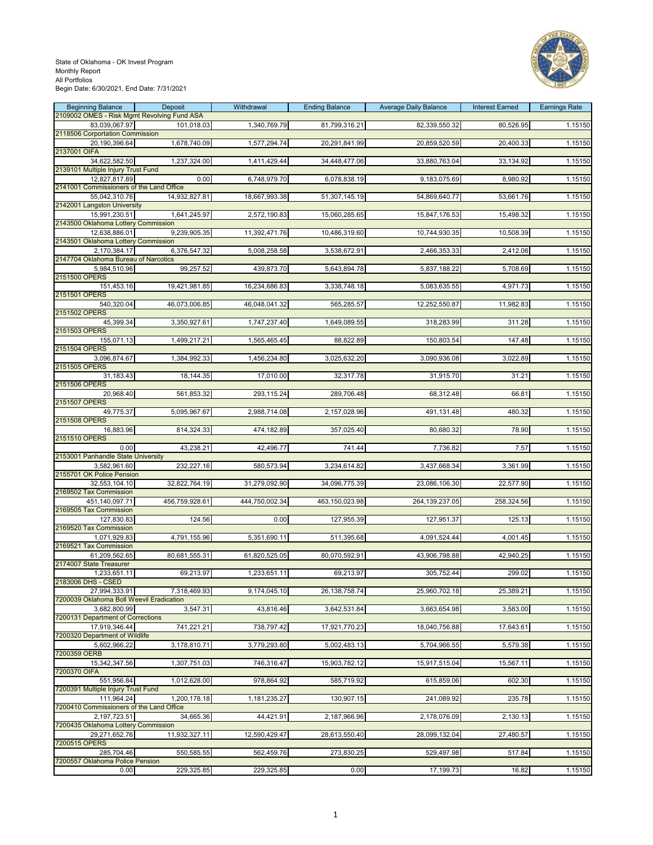

| 2109002 OMES - Risk Mgmt Revolving Fund ASA<br>83,039,067.97<br>101,018.03<br>1,340,769.79<br>81,799,316.21<br>82,339,550.32<br>80,526.95<br>1.15150<br>2118506 Corportation Commission<br>1,678,740.09<br>1,577,294.74<br>20,291,841.99<br>20,859,520.59<br>20,400.33<br>1.15150<br>20,190,396.64<br>34,622,582.50<br>1,237,324.00<br>1,411,429.44<br>34,448,477.06<br>33,880,763.04<br>33,134.92<br>1.15150<br>2139101 Multiple Injury Trust Fund<br>0.00<br>6,748,979.70<br>6,078,838.19<br>9,183,075.69<br>8,980.92<br>1.15150<br>12,827,817.89<br>2141001 Commissioners of the Land Office<br>14,932,827.81<br>18,667,993.38<br>1.15150<br>55,042,310.76<br>51,307,145.19<br>54,869,640.77<br>53,661.76<br>2142001 Langston University<br>1,641,245.97<br>2,572,190.83<br>15,060,285.65<br>15,847,176.53<br>15,498.32<br>1.15150<br>15,991,230.51<br>2143500 Oklahoma Lottery Commission<br>12,638,886.01<br>9,239,905.35<br>11,392,471.76<br>10,486,319.60<br>10,744,930.35<br>10,508.39<br>1.15150<br>2143501 Oklahoma Lottery Commission<br>6,376,547.32<br>2,170,384.17<br>5,008,258.58<br>3,538,672.91<br>2,466,353.33<br>2,412.06<br>1.15150<br>2147704 Oklahoma Bureau of Narcotics<br>99,257.52<br>439,873.70<br>5,643,894.78<br>5,837,188.22<br>5,708.69<br>1.15150<br>5,984,510.96<br>2151500 OPERS<br>151,453.16<br>19,421,981.85<br>16,234,686.83<br>3,338,748.18<br>5,083,635.55<br>4,971.73<br>1.15150<br>2151501 OPERS<br>540,320.04<br>46,073,006.85<br>46,048,041.32<br>565,285.57<br>12,252,550.87<br>11,982.83<br>1.15150<br>2151502 OPERS<br>45,399.34<br>3,350,927.61<br>1,747,237.40<br>1,649,089.55<br>318,283.99<br>311.28<br>1.15150<br>155,071.13<br>1,565,465.45<br>147.48<br>1,499,217.21<br>88,822.89<br>150,803.54<br>1.15150<br>2151504 OPERS<br>3,096,874.67<br>1,384,992.33<br>1,456,234.80<br>3,025,632.20<br>3,090,936.08<br>3,022.89<br>1.15150<br>2151505 OPERS<br>31,183.43<br>18,144.35<br>17,010.00<br>32,317.78<br>31,915.70<br>31.21<br>1.15150<br>2151506 OPERS<br>289,706.48<br>20,968.40<br>561,853.32<br>293,115.24<br>68,312.48<br>1.15150<br>66.81<br>2151507 OPERS<br>49,775.37<br>5,095,967.67<br>2,988,714.08<br>2,157,028.96<br>491,131.48<br>480.32<br>1.15150<br>78.90<br>16,883.96<br>814,324.33<br>474,182.89<br>357,025.40<br>80,680.32<br>1.15150<br>43,238.21<br>42,496.77<br>741.44<br>7,736.82<br>7.57<br>1.15150<br>0.00<br>2153001 Panhandle State University<br>232,227.16<br>580,573.94<br>3,234,614.82<br>3,437,668.34<br>3,361.99<br>1.15150<br>3,582,961.60<br>2155701 OK Police Pension<br>32,553,104.10<br>32,822,764.19<br>31,279,092.90<br>34,096,775.39<br>23,086,106.30<br>22,577.90<br>1.15150<br>2169502 Tax Commission<br>456,759,928.61<br>444,750,002.34<br>463,150,023.98<br>264, 139, 237.05<br>258,324.56<br>1.15150<br>451,140,097.71<br>2169505 Tax Commission<br>124.56<br>0.00<br>127,955.39<br>127,951.37<br>125.13<br>1.15150<br>127,830.83<br>2169520 Tax Commission<br>4,791,155.96<br>5,351,690.11<br>511,395.68<br>4,091,524.44<br>4,001.45<br>1.15150<br>1,071,929.83<br>2169521 Tax Commission<br>1.15150<br>61,209,562.65<br>80,681,555.31<br>61,820,525.05<br>80,070,592.91<br>43,906,798.88<br>42,940.25<br>2174007 State Treasurer<br>1,233,651.11<br>69,213.97<br>1,233,651.11<br>69,213.97<br>299.02<br>305,752.44<br>1.15150<br>2183006 DHS - CSED<br>7,318,469.93<br>9,174,045.10<br>26, 138, 758. 74<br>25,960,702.18<br>25,389.21<br>1.15150<br>27,994,333.91<br>7200039 Oklahoma Boll Weevil Eradication<br>3,547.31<br>3.682.800.99<br>43,816.46<br>3,642,531.84<br>3,663,654.98<br>3,583.00<br>1.15150<br>7200131 Department of Corrections<br>741,221.21<br>738,797.42<br>17,921,770.23<br>18,040,756.88<br>17,643.61<br>1.15150<br>17,919,346.44<br>7200320 Department of Wildlife<br>3,178,810.71<br>3,779,293.80<br>5,002,483.13<br>5,704,966.55<br>5,579.38<br>5,602,966.22<br>1.15150<br>7200359 OERB<br>15,342,347.56<br>1,307,751.03<br>746,316.47<br>15,903,782.12<br>15,917,515.04<br>15,567.11<br>1.15150<br>7200370 OIFA<br>602.30<br>551,956.84<br>1,012,628.00<br>978,864.92<br>585,719.92<br>615,859.06<br>1.15150<br>7200391 Multiple Injury Trust Fund<br>111,964.24<br>1,200,178.18<br>1,181,235.27<br>130,907.15<br>241,089.92<br>235.78<br>1.15150<br>7200410 Commissioners of the Land Office<br>44,421.91<br>2,187,966.96<br>2,130.13<br>1.15150<br>2,197,723.51<br>34,665.36<br>2,178,076.09<br>7200435 Oklahoma Lottery Commission<br>29,271,652.76<br>11,932,327.11<br>12,590,429.47<br>28,613,550.40<br>28,099,132.04<br>27,480.57<br>1.15150<br>7200515 OPERS<br>550,585.55<br>285,704.46<br>562,459.76<br>273,830.25<br>529,497.98<br>517.84<br>1.15150<br>7200557 Oklahoma Police Pension<br>229,325.85<br>229,325.85<br>17,199.73<br>1.15150<br>0.00<br>0.00<br>16.82 | <b>Beginning Balance</b> | Deposit | Withdrawal | <b>Ending Balance</b> | <b>Average Daily Balance</b> | <b>Interest Earned</b> | <b>Earnings Rate</b> |
|---------------------------------------------------------------------------------------------------------------------------------------------------------------------------------------------------------------------------------------------------------------------------------------------------------------------------------------------------------------------------------------------------------------------------------------------------------------------------------------------------------------------------------------------------------------------------------------------------------------------------------------------------------------------------------------------------------------------------------------------------------------------------------------------------------------------------------------------------------------------------------------------------------------------------------------------------------------------------------------------------------------------------------------------------------------------------------------------------------------------------------------------------------------------------------------------------------------------------------------------------------------------------------------------------------------------------------------------------------------------------------------------------------------------------------------------------------------------------------------------------------------------------------------------------------------------------------------------------------------------------------------------------------------------------------------------------------------------------------------------------------------------------------------------------------------------------------------------------------------------------------------------------------------------------------------------------------------------------------------------------------------------------------------------------------------------------------------------------------------------------------------------------------------------------------------------------------------------------------------------------------------------------------------------------------------------------------------------------------------------------------------------------------------------------------------------------------------------------------------------------------------------------------------------------------------------------------------------------------------------------------------------------------------------------------------------------------------------------------------------------------------------------------------------------------------------------------------------------------------------------------------------------------------------------------------------------------------------------------------------------------------------------------------------------------------------------------------------------------------------------------------------------------------------------------------------------------------------------------------------------------------------------------------------------------------------------------------------------------------------------------------------------------------------------------------------------------------------------------------------------------------------------------------------------------------------------------------------------------------------------------------------------------------------------------------------------------------------------------------------------------------------------------------------------------------------------------------------------------------------------------------------------------------------------------------------------------------------------------------------------------------------------------------------------------------------------------------------------------------------------------------------------------------------------------------------------------------------------------------------------------------------------------------------------------------------------------------------------------------------------------------------------------------------------------------------------------------------------------------------------------------------------------------------------------------------------------------------------------------------------------------------------------------------------------------------------------------------------------------------------------------------------------------------------------------------|--------------------------|---------|------------|-----------------------|------------------------------|------------------------|----------------------|
|                                                                                                                                                                                                                                                                                                                                                                                                                                                                                                                                                                                                                                                                                                                                                                                                                                                                                                                                                                                                                                                                                                                                                                                                                                                                                                                                                                                                                                                                                                                                                                                                                                                                                                                                                                                                                                                                                                                                                                                                                                                                                                                                                                                                                                                                                                                                                                                                                                                                                                                                                                                                                                                                                                                                                                                                                                                                                                                                                                                                                                                                                                                                                                                                                                                                                                                                                                                                                                                                                                                                                                                                                                                                                                                                                                                                                                                                                                                                                                                                                                                                                                                                                                                                                                                                                                                                                                                                                                                                                                                                                                                                                                                                                                                                                                                                                     |                          |         |            |                       |                              |                        |                      |
|                                                                                                                                                                                                                                                                                                                                                                                                                                                                                                                                                                                                                                                                                                                                                                                                                                                                                                                                                                                                                                                                                                                                                                                                                                                                                                                                                                                                                                                                                                                                                                                                                                                                                                                                                                                                                                                                                                                                                                                                                                                                                                                                                                                                                                                                                                                                                                                                                                                                                                                                                                                                                                                                                                                                                                                                                                                                                                                                                                                                                                                                                                                                                                                                                                                                                                                                                                                                                                                                                                                                                                                                                                                                                                                                                                                                                                                                                                                                                                                                                                                                                                                                                                                                                                                                                                                                                                                                                                                                                                                                                                                                                                                                                                                                                                                                                     |                          |         |            |                       |                              |                        |                      |
|                                                                                                                                                                                                                                                                                                                                                                                                                                                                                                                                                                                                                                                                                                                                                                                                                                                                                                                                                                                                                                                                                                                                                                                                                                                                                                                                                                                                                                                                                                                                                                                                                                                                                                                                                                                                                                                                                                                                                                                                                                                                                                                                                                                                                                                                                                                                                                                                                                                                                                                                                                                                                                                                                                                                                                                                                                                                                                                                                                                                                                                                                                                                                                                                                                                                                                                                                                                                                                                                                                                                                                                                                                                                                                                                                                                                                                                                                                                                                                                                                                                                                                                                                                                                                                                                                                                                                                                                                                                                                                                                                                                                                                                                                                                                                                                                                     | 2137001 OIFA             |         |            |                       |                              |                        |                      |
|                                                                                                                                                                                                                                                                                                                                                                                                                                                                                                                                                                                                                                                                                                                                                                                                                                                                                                                                                                                                                                                                                                                                                                                                                                                                                                                                                                                                                                                                                                                                                                                                                                                                                                                                                                                                                                                                                                                                                                                                                                                                                                                                                                                                                                                                                                                                                                                                                                                                                                                                                                                                                                                                                                                                                                                                                                                                                                                                                                                                                                                                                                                                                                                                                                                                                                                                                                                                                                                                                                                                                                                                                                                                                                                                                                                                                                                                                                                                                                                                                                                                                                                                                                                                                                                                                                                                                                                                                                                                                                                                                                                                                                                                                                                                                                                                                     |                          |         |            |                       |                              |                        |                      |
|                                                                                                                                                                                                                                                                                                                                                                                                                                                                                                                                                                                                                                                                                                                                                                                                                                                                                                                                                                                                                                                                                                                                                                                                                                                                                                                                                                                                                                                                                                                                                                                                                                                                                                                                                                                                                                                                                                                                                                                                                                                                                                                                                                                                                                                                                                                                                                                                                                                                                                                                                                                                                                                                                                                                                                                                                                                                                                                                                                                                                                                                                                                                                                                                                                                                                                                                                                                                                                                                                                                                                                                                                                                                                                                                                                                                                                                                                                                                                                                                                                                                                                                                                                                                                                                                                                                                                                                                                                                                                                                                                                                                                                                                                                                                                                                                                     |                          |         |            |                       |                              |                        |                      |
|                                                                                                                                                                                                                                                                                                                                                                                                                                                                                                                                                                                                                                                                                                                                                                                                                                                                                                                                                                                                                                                                                                                                                                                                                                                                                                                                                                                                                                                                                                                                                                                                                                                                                                                                                                                                                                                                                                                                                                                                                                                                                                                                                                                                                                                                                                                                                                                                                                                                                                                                                                                                                                                                                                                                                                                                                                                                                                                                                                                                                                                                                                                                                                                                                                                                                                                                                                                                                                                                                                                                                                                                                                                                                                                                                                                                                                                                                                                                                                                                                                                                                                                                                                                                                                                                                                                                                                                                                                                                                                                                                                                                                                                                                                                                                                                                                     |                          |         |            |                       |                              |                        |                      |
|                                                                                                                                                                                                                                                                                                                                                                                                                                                                                                                                                                                                                                                                                                                                                                                                                                                                                                                                                                                                                                                                                                                                                                                                                                                                                                                                                                                                                                                                                                                                                                                                                                                                                                                                                                                                                                                                                                                                                                                                                                                                                                                                                                                                                                                                                                                                                                                                                                                                                                                                                                                                                                                                                                                                                                                                                                                                                                                                                                                                                                                                                                                                                                                                                                                                                                                                                                                                                                                                                                                                                                                                                                                                                                                                                                                                                                                                                                                                                                                                                                                                                                                                                                                                                                                                                                                                                                                                                                                                                                                                                                                                                                                                                                                                                                                                                     |                          |         |            |                       |                              |                        |                      |
|                                                                                                                                                                                                                                                                                                                                                                                                                                                                                                                                                                                                                                                                                                                                                                                                                                                                                                                                                                                                                                                                                                                                                                                                                                                                                                                                                                                                                                                                                                                                                                                                                                                                                                                                                                                                                                                                                                                                                                                                                                                                                                                                                                                                                                                                                                                                                                                                                                                                                                                                                                                                                                                                                                                                                                                                                                                                                                                                                                                                                                                                                                                                                                                                                                                                                                                                                                                                                                                                                                                                                                                                                                                                                                                                                                                                                                                                                                                                                                                                                                                                                                                                                                                                                                                                                                                                                                                                                                                                                                                                                                                                                                                                                                                                                                                                                     |                          |         |            |                       |                              |                        |                      |
|                                                                                                                                                                                                                                                                                                                                                                                                                                                                                                                                                                                                                                                                                                                                                                                                                                                                                                                                                                                                                                                                                                                                                                                                                                                                                                                                                                                                                                                                                                                                                                                                                                                                                                                                                                                                                                                                                                                                                                                                                                                                                                                                                                                                                                                                                                                                                                                                                                                                                                                                                                                                                                                                                                                                                                                                                                                                                                                                                                                                                                                                                                                                                                                                                                                                                                                                                                                                                                                                                                                                                                                                                                                                                                                                                                                                                                                                                                                                                                                                                                                                                                                                                                                                                                                                                                                                                                                                                                                                                                                                                                                                                                                                                                                                                                                                                     |                          |         |            |                       |                              |                        |                      |
|                                                                                                                                                                                                                                                                                                                                                                                                                                                                                                                                                                                                                                                                                                                                                                                                                                                                                                                                                                                                                                                                                                                                                                                                                                                                                                                                                                                                                                                                                                                                                                                                                                                                                                                                                                                                                                                                                                                                                                                                                                                                                                                                                                                                                                                                                                                                                                                                                                                                                                                                                                                                                                                                                                                                                                                                                                                                                                                                                                                                                                                                                                                                                                                                                                                                                                                                                                                                                                                                                                                                                                                                                                                                                                                                                                                                                                                                                                                                                                                                                                                                                                                                                                                                                                                                                                                                                                                                                                                                                                                                                                                                                                                                                                                                                                                                                     |                          |         |            |                       |                              |                        |                      |
|                                                                                                                                                                                                                                                                                                                                                                                                                                                                                                                                                                                                                                                                                                                                                                                                                                                                                                                                                                                                                                                                                                                                                                                                                                                                                                                                                                                                                                                                                                                                                                                                                                                                                                                                                                                                                                                                                                                                                                                                                                                                                                                                                                                                                                                                                                                                                                                                                                                                                                                                                                                                                                                                                                                                                                                                                                                                                                                                                                                                                                                                                                                                                                                                                                                                                                                                                                                                                                                                                                                                                                                                                                                                                                                                                                                                                                                                                                                                                                                                                                                                                                                                                                                                                                                                                                                                                                                                                                                                                                                                                                                                                                                                                                                                                                                                                     |                          |         |            |                       |                              |                        |                      |
|                                                                                                                                                                                                                                                                                                                                                                                                                                                                                                                                                                                                                                                                                                                                                                                                                                                                                                                                                                                                                                                                                                                                                                                                                                                                                                                                                                                                                                                                                                                                                                                                                                                                                                                                                                                                                                                                                                                                                                                                                                                                                                                                                                                                                                                                                                                                                                                                                                                                                                                                                                                                                                                                                                                                                                                                                                                                                                                                                                                                                                                                                                                                                                                                                                                                                                                                                                                                                                                                                                                                                                                                                                                                                                                                                                                                                                                                                                                                                                                                                                                                                                                                                                                                                                                                                                                                                                                                                                                                                                                                                                                                                                                                                                                                                                                                                     |                          |         |            |                       |                              |                        |                      |
|                                                                                                                                                                                                                                                                                                                                                                                                                                                                                                                                                                                                                                                                                                                                                                                                                                                                                                                                                                                                                                                                                                                                                                                                                                                                                                                                                                                                                                                                                                                                                                                                                                                                                                                                                                                                                                                                                                                                                                                                                                                                                                                                                                                                                                                                                                                                                                                                                                                                                                                                                                                                                                                                                                                                                                                                                                                                                                                                                                                                                                                                                                                                                                                                                                                                                                                                                                                                                                                                                                                                                                                                                                                                                                                                                                                                                                                                                                                                                                                                                                                                                                                                                                                                                                                                                                                                                                                                                                                                                                                                                                                                                                                                                                                                                                                                                     |                          |         |            |                       |                              |                        |                      |
|                                                                                                                                                                                                                                                                                                                                                                                                                                                                                                                                                                                                                                                                                                                                                                                                                                                                                                                                                                                                                                                                                                                                                                                                                                                                                                                                                                                                                                                                                                                                                                                                                                                                                                                                                                                                                                                                                                                                                                                                                                                                                                                                                                                                                                                                                                                                                                                                                                                                                                                                                                                                                                                                                                                                                                                                                                                                                                                                                                                                                                                                                                                                                                                                                                                                                                                                                                                                                                                                                                                                                                                                                                                                                                                                                                                                                                                                                                                                                                                                                                                                                                                                                                                                                                                                                                                                                                                                                                                                                                                                                                                                                                                                                                                                                                                                                     |                          |         |            |                       |                              |                        |                      |
|                                                                                                                                                                                                                                                                                                                                                                                                                                                                                                                                                                                                                                                                                                                                                                                                                                                                                                                                                                                                                                                                                                                                                                                                                                                                                                                                                                                                                                                                                                                                                                                                                                                                                                                                                                                                                                                                                                                                                                                                                                                                                                                                                                                                                                                                                                                                                                                                                                                                                                                                                                                                                                                                                                                                                                                                                                                                                                                                                                                                                                                                                                                                                                                                                                                                                                                                                                                                                                                                                                                                                                                                                                                                                                                                                                                                                                                                                                                                                                                                                                                                                                                                                                                                                                                                                                                                                                                                                                                                                                                                                                                                                                                                                                                                                                                                                     |                          |         |            |                       |                              |                        |                      |
|                                                                                                                                                                                                                                                                                                                                                                                                                                                                                                                                                                                                                                                                                                                                                                                                                                                                                                                                                                                                                                                                                                                                                                                                                                                                                                                                                                                                                                                                                                                                                                                                                                                                                                                                                                                                                                                                                                                                                                                                                                                                                                                                                                                                                                                                                                                                                                                                                                                                                                                                                                                                                                                                                                                                                                                                                                                                                                                                                                                                                                                                                                                                                                                                                                                                                                                                                                                                                                                                                                                                                                                                                                                                                                                                                                                                                                                                                                                                                                                                                                                                                                                                                                                                                                                                                                                                                                                                                                                                                                                                                                                                                                                                                                                                                                                                                     | 2151503 OPERS            |         |            |                       |                              |                        |                      |
|                                                                                                                                                                                                                                                                                                                                                                                                                                                                                                                                                                                                                                                                                                                                                                                                                                                                                                                                                                                                                                                                                                                                                                                                                                                                                                                                                                                                                                                                                                                                                                                                                                                                                                                                                                                                                                                                                                                                                                                                                                                                                                                                                                                                                                                                                                                                                                                                                                                                                                                                                                                                                                                                                                                                                                                                                                                                                                                                                                                                                                                                                                                                                                                                                                                                                                                                                                                                                                                                                                                                                                                                                                                                                                                                                                                                                                                                                                                                                                                                                                                                                                                                                                                                                                                                                                                                                                                                                                                                                                                                                                                                                                                                                                                                                                                                                     |                          |         |            |                       |                              |                        |                      |
|                                                                                                                                                                                                                                                                                                                                                                                                                                                                                                                                                                                                                                                                                                                                                                                                                                                                                                                                                                                                                                                                                                                                                                                                                                                                                                                                                                                                                                                                                                                                                                                                                                                                                                                                                                                                                                                                                                                                                                                                                                                                                                                                                                                                                                                                                                                                                                                                                                                                                                                                                                                                                                                                                                                                                                                                                                                                                                                                                                                                                                                                                                                                                                                                                                                                                                                                                                                                                                                                                                                                                                                                                                                                                                                                                                                                                                                                                                                                                                                                                                                                                                                                                                                                                                                                                                                                                                                                                                                                                                                                                                                                                                                                                                                                                                                                                     |                          |         |            |                       |                              |                        |                      |
|                                                                                                                                                                                                                                                                                                                                                                                                                                                                                                                                                                                                                                                                                                                                                                                                                                                                                                                                                                                                                                                                                                                                                                                                                                                                                                                                                                                                                                                                                                                                                                                                                                                                                                                                                                                                                                                                                                                                                                                                                                                                                                                                                                                                                                                                                                                                                                                                                                                                                                                                                                                                                                                                                                                                                                                                                                                                                                                                                                                                                                                                                                                                                                                                                                                                                                                                                                                                                                                                                                                                                                                                                                                                                                                                                                                                                                                                                                                                                                                                                                                                                                                                                                                                                                                                                                                                                                                                                                                                                                                                                                                                                                                                                                                                                                                                                     |                          |         |            |                       |                              |                        |                      |
|                                                                                                                                                                                                                                                                                                                                                                                                                                                                                                                                                                                                                                                                                                                                                                                                                                                                                                                                                                                                                                                                                                                                                                                                                                                                                                                                                                                                                                                                                                                                                                                                                                                                                                                                                                                                                                                                                                                                                                                                                                                                                                                                                                                                                                                                                                                                                                                                                                                                                                                                                                                                                                                                                                                                                                                                                                                                                                                                                                                                                                                                                                                                                                                                                                                                                                                                                                                                                                                                                                                                                                                                                                                                                                                                                                                                                                                                                                                                                                                                                                                                                                                                                                                                                                                                                                                                                                                                                                                                                                                                                                                                                                                                                                                                                                                                                     |                          |         |            |                       |                              |                        |                      |
|                                                                                                                                                                                                                                                                                                                                                                                                                                                                                                                                                                                                                                                                                                                                                                                                                                                                                                                                                                                                                                                                                                                                                                                                                                                                                                                                                                                                                                                                                                                                                                                                                                                                                                                                                                                                                                                                                                                                                                                                                                                                                                                                                                                                                                                                                                                                                                                                                                                                                                                                                                                                                                                                                                                                                                                                                                                                                                                                                                                                                                                                                                                                                                                                                                                                                                                                                                                                                                                                                                                                                                                                                                                                                                                                                                                                                                                                                                                                                                                                                                                                                                                                                                                                                                                                                                                                                                                                                                                                                                                                                                                                                                                                                                                                                                                                                     |                          |         |            |                       |                              |                        |                      |
|                                                                                                                                                                                                                                                                                                                                                                                                                                                                                                                                                                                                                                                                                                                                                                                                                                                                                                                                                                                                                                                                                                                                                                                                                                                                                                                                                                                                                                                                                                                                                                                                                                                                                                                                                                                                                                                                                                                                                                                                                                                                                                                                                                                                                                                                                                                                                                                                                                                                                                                                                                                                                                                                                                                                                                                                                                                                                                                                                                                                                                                                                                                                                                                                                                                                                                                                                                                                                                                                                                                                                                                                                                                                                                                                                                                                                                                                                                                                                                                                                                                                                                                                                                                                                                                                                                                                                                                                                                                                                                                                                                                                                                                                                                                                                                                                                     |                          |         |            |                       |                              |                        |                      |
|                                                                                                                                                                                                                                                                                                                                                                                                                                                                                                                                                                                                                                                                                                                                                                                                                                                                                                                                                                                                                                                                                                                                                                                                                                                                                                                                                                                                                                                                                                                                                                                                                                                                                                                                                                                                                                                                                                                                                                                                                                                                                                                                                                                                                                                                                                                                                                                                                                                                                                                                                                                                                                                                                                                                                                                                                                                                                                                                                                                                                                                                                                                                                                                                                                                                                                                                                                                                                                                                                                                                                                                                                                                                                                                                                                                                                                                                                                                                                                                                                                                                                                                                                                                                                                                                                                                                                                                                                                                                                                                                                                                                                                                                                                                                                                                                                     | 2151508 OPERS            |         |            |                       |                              |                        |                      |
|                                                                                                                                                                                                                                                                                                                                                                                                                                                                                                                                                                                                                                                                                                                                                                                                                                                                                                                                                                                                                                                                                                                                                                                                                                                                                                                                                                                                                                                                                                                                                                                                                                                                                                                                                                                                                                                                                                                                                                                                                                                                                                                                                                                                                                                                                                                                                                                                                                                                                                                                                                                                                                                                                                                                                                                                                                                                                                                                                                                                                                                                                                                                                                                                                                                                                                                                                                                                                                                                                                                                                                                                                                                                                                                                                                                                                                                                                                                                                                                                                                                                                                                                                                                                                                                                                                                                                                                                                                                                                                                                                                                                                                                                                                                                                                                                                     | 2151510 OPERS            |         |            |                       |                              |                        |                      |
|                                                                                                                                                                                                                                                                                                                                                                                                                                                                                                                                                                                                                                                                                                                                                                                                                                                                                                                                                                                                                                                                                                                                                                                                                                                                                                                                                                                                                                                                                                                                                                                                                                                                                                                                                                                                                                                                                                                                                                                                                                                                                                                                                                                                                                                                                                                                                                                                                                                                                                                                                                                                                                                                                                                                                                                                                                                                                                                                                                                                                                                                                                                                                                                                                                                                                                                                                                                                                                                                                                                                                                                                                                                                                                                                                                                                                                                                                                                                                                                                                                                                                                                                                                                                                                                                                                                                                                                                                                                                                                                                                                                                                                                                                                                                                                                                                     |                          |         |            |                       |                              |                        |                      |
|                                                                                                                                                                                                                                                                                                                                                                                                                                                                                                                                                                                                                                                                                                                                                                                                                                                                                                                                                                                                                                                                                                                                                                                                                                                                                                                                                                                                                                                                                                                                                                                                                                                                                                                                                                                                                                                                                                                                                                                                                                                                                                                                                                                                                                                                                                                                                                                                                                                                                                                                                                                                                                                                                                                                                                                                                                                                                                                                                                                                                                                                                                                                                                                                                                                                                                                                                                                                                                                                                                                                                                                                                                                                                                                                                                                                                                                                                                                                                                                                                                                                                                                                                                                                                                                                                                                                                                                                                                                                                                                                                                                                                                                                                                                                                                                                                     |                          |         |            |                       |                              |                        |                      |
|                                                                                                                                                                                                                                                                                                                                                                                                                                                                                                                                                                                                                                                                                                                                                                                                                                                                                                                                                                                                                                                                                                                                                                                                                                                                                                                                                                                                                                                                                                                                                                                                                                                                                                                                                                                                                                                                                                                                                                                                                                                                                                                                                                                                                                                                                                                                                                                                                                                                                                                                                                                                                                                                                                                                                                                                                                                                                                                                                                                                                                                                                                                                                                                                                                                                                                                                                                                                                                                                                                                                                                                                                                                                                                                                                                                                                                                                                                                                                                                                                                                                                                                                                                                                                                                                                                                                                                                                                                                                                                                                                                                                                                                                                                                                                                                                                     |                          |         |            |                       |                              |                        |                      |
|                                                                                                                                                                                                                                                                                                                                                                                                                                                                                                                                                                                                                                                                                                                                                                                                                                                                                                                                                                                                                                                                                                                                                                                                                                                                                                                                                                                                                                                                                                                                                                                                                                                                                                                                                                                                                                                                                                                                                                                                                                                                                                                                                                                                                                                                                                                                                                                                                                                                                                                                                                                                                                                                                                                                                                                                                                                                                                                                                                                                                                                                                                                                                                                                                                                                                                                                                                                                                                                                                                                                                                                                                                                                                                                                                                                                                                                                                                                                                                                                                                                                                                                                                                                                                                                                                                                                                                                                                                                                                                                                                                                                                                                                                                                                                                                                                     |                          |         |            |                       |                              |                        |                      |
|                                                                                                                                                                                                                                                                                                                                                                                                                                                                                                                                                                                                                                                                                                                                                                                                                                                                                                                                                                                                                                                                                                                                                                                                                                                                                                                                                                                                                                                                                                                                                                                                                                                                                                                                                                                                                                                                                                                                                                                                                                                                                                                                                                                                                                                                                                                                                                                                                                                                                                                                                                                                                                                                                                                                                                                                                                                                                                                                                                                                                                                                                                                                                                                                                                                                                                                                                                                                                                                                                                                                                                                                                                                                                                                                                                                                                                                                                                                                                                                                                                                                                                                                                                                                                                                                                                                                                                                                                                                                                                                                                                                                                                                                                                                                                                                                                     |                          |         |            |                       |                              |                        |                      |
|                                                                                                                                                                                                                                                                                                                                                                                                                                                                                                                                                                                                                                                                                                                                                                                                                                                                                                                                                                                                                                                                                                                                                                                                                                                                                                                                                                                                                                                                                                                                                                                                                                                                                                                                                                                                                                                                                                                                                                                                                                                                                                                                                                                                                                                                                                                                                                                                                                                                                                                                                                                                                                                                                                                                                                                                                                                                                                                                                                                                                                                                                                                                                                                                                                                                                                                                                                                                                                                                                                                                                                                                                                                                                                                                                                                                                                                                                                                                                                                                                                                                                                                                                                                                                                                                                                                                                                                                                                                                                                                                                                                                                                                                                                                                                                                                                     |                          |         |            |                       |                              |                        |                      |
|                                                                                                                                                                                                                                                                                                                                                                                                                                                                                                                                                                                                                                                                                                                                                                                                                                                                                                                                                                                                                                                                                                                                                                                                                                                                                                                                                                                                                                                                                                                                                                                                                                                                                                                                                                                                                                                                                                                                                                                                                                                                                                                                                                                                                                                                                                                                                                                                                                                                                                                                                                                                                                                                                                                                                                                                                                                                                                                                                                                                                                                                                                                                                                                                                                                                                                                                                                                                                                                                                                                                                                                                                                                                                                                                                                                                                                                                                                                                                                                                                                                                                                                                                                                                                                                                                                                                                                                                                                                                                                                                                                                                                                                                                                                                                                                                                     |                          |         |            |                       |                              |                        |                      |
|                                                                                                                                                                                                                                                                                                                                                                                                                                                                                                                                                                                                                                                                                                                                                                                                                                                                                                                                                                                                                                                                                                                                                                                                                                                                                                                                                                                                                                                                                                                                                                                                                                                                                                                                                                                                                                                                                                                                                                                                                                                                                                                                                                                                                                                                                                                                                                                                                                                                                                                                                                                                                                                                                                                                                                                                                                                                                                                                                                                                                                                                                                                                                                                                                                                                                                                                                                                                                                                                                                                                                                                                                                                                                                                                                                                                                                                                                                                                                                                                                                                                                                                                                                                                                                                                                                                                                                                                                                                                                                                                                                                                                                                                                                                                                                                                                     |                          |         |            |                       |                              |                        |                      |
|                                                                                                                                                                                                                                                                                                                                                                                                                                                                                                                                                                                                                                                                                                                                                                                                                                                                                                                                                                                                                                                                                                                                                                                                                                                                                                                                                                                                                                                                                                                                                                                                                                                                                                                                                                                                                                                                                                                                                                                                                                                                                                                                                                                                                                                                                                                                                                                                                                                                                                                                                                                                                                                                                                                                                                                                                                                                                                                                                                                                                                                                                                                                                                                                                                                                                                                                                                                                                                                                                                                                                                                                                                                                                                                                                                                                                                                                                                                                                                                                                                                                                                                                                                                                                                                                                                                                                                                                                                                                                                                                                                                                                                                                                                                                                                                                                     |                          |         |            |                       |                              |                        |                      |
|                                                                                                                                                                                                                                                                                                                                                                                                                                                                                                                                                                                                                                                                                                                                                                                                                                                                                                                                                                                                                                                                                                                                                                                                                                                                                                                                                                                                                                                                                                                                                                                                                                                                                                                                                                                                                                                                                                                                                                                                                                                                                                                                                                                                                                                                                                                                                                                                                                                                                                                                                                                                                                                                                                                                                                                                                                                                                                                                                                                                                                                                                                                                                                                                                                                                                                                                                                                                                                                                                                                                                                                                                                                                                                                                                                                                                                                                                                                                                                                                                                                                                                                                                                                                                                                                                                                                                                                                                                                                                                                                                                                                                                                                                                                                                                                                                     |                          |         |            |                       |                              |                        |                      |
|                                                                                                                                                                                                                                                                                                                                                                                                                                                                                                                                                                                                                                                                                                                                                                                                                                                                                                                                                                                                                                                                                                                                                                                                                                                                                                                                                                                                                                                                                                                                                                                                                                                                                                                                                                                                                                                                                                                                                                                                                                                                                                                                                                                                                                                                                                                                                                                                                                                                                                                                                                                                                                                                                                                                                                                                                                                                                                                                                                                                                                                                                                                                                                                                                                                                                                                                                                                                                                                                                                                                                                                                                                                                                                                                                                                                                                                                                                                                                                                                                                                                                                                                                                                                                                                                                                                                                                                                                                                                                                                                                                                                                                                                                                                                                                                                                     |                          |         |            |                       |                              |                        |                      |
|                                                                                                                                                                                                                                                                                                                                                                                                                                                                                                                                                                                                                                                                                                                                                                                                                                                                                                                                                                                                                                                                                                                                                                                                                                                                                                                                                                                                                                                                                                                                                                                                                                                                                                                                                                                                                                                                                                                                                                                                                                                                                                                                                                                                                                                                                                                                                                                                                                                                                                                                                                                                                                                                                                                                                                                                                                                                                                                                                                                                                                                                                                                                                                                                                                                                                                                                                                                                                                                                                                                                                                                                                                                                                                                                                                                                                                                                                                                                                                                                                                                                                                                                                                                                                                                                                                                                                                                                                                                                                                                                                                                                                                                                                                                                                                                                                     |                          |         |            |                       |                              |                        |                      |
|                                                                                                                                                                                                                                                                                                                                                                                                                                                                                                                                                                                                                                                                                                                                                                                                                                                                                                                                                                                                                                                                                                                                                                                                                                                                                                                                                                                                                                                                                                                                                                                                                                                                                                                                                                                                                                                                                                                                                                                                                                                                                                                                                                                                                                                                                                                                                                                                                                                                                                                                                                                                                                                                                                                                                                                                                                                                                                                                                                                                                                                                                                                                                                                                                                                                                                                                                                                                                                                                                                                                                                                                                                                                                                                                                                                                                                                                                                                                                                                                                                                                                                                                                                                                                                                                                                                                                                                                                                                                                                                                                                                                                                                                                                                                                                                                                     |                          |         |            |                       |                              |                        |                      |
|                                                                                                                                                                                                                                                                                                                                                                                                                                                                                                                                                                                                                                                                                                                                                                                                                                                                                                                                                                                                                                                                                                                                                                                                                                                                                                                                                                                                                                                                                                                                                                                                                                                                                                                                                                                                                                                                                                                                                                                                                                                                                                                                                                                                                                                                                                                                                                                                                                                                                                                                                                                                                                                                                                                                                                                                                                                                                                                                                                                                                                                                                                                                                                                                                                                                                                                                                                                                                                                                                                                                                                                                                                                                                                                                                                                                                                                                                                                                                                                                                                                                                                                                                                                                                                                                                                                                                                                                                                                                                                                                                                                                                                                                                                                                                                                                                     |                          |         |            |                       |                              |                        |                      |
|                                                                                                                                                                                                                                                                                                                                                                                                                                                                                                                                                                                                                                                                                                                                                                                                                                                                                                                                                                                                                                                                                                                                                                                                                                                                                                                                                                                                                                                                                                                                                                                                                                                                                                                                                                                                                                                                                                                                                                                                                                                                                                                                                                                                                                                                                                                                                                                                                                                                                                                                                                                                                                                                                                                                                                                                                                                                                                                                                                                                                                                                                                                                                                                                                                                                                                                                                                                                                                                                                                                                                                                                                                                                                                                                                                                                                                                                                                                                                                                                                                                                                                                                                                                                                                                                                                                                                                                                                                                                                                                                                                                                                                                                                                                                                                                                                     |                          |         |            |                       |                              |                        |                      |
|                                                                                                                                                                                                                                                                                                                                                                                                                                                                                                                                                                                                                                                                                                                                                                                                                                                                                                                                                                                                                                                                                                                                                                                                                                                                                                                                                                                                                                                                                                                                                                                                                                                                                                                                                                                                                                                                                                                                                                                                                                                                                                                                                                                                                                                                                                                                                                                                                                                                                                                                                                                                                                                                                                                                                                                                                                                                                                                                                                                                                                                                                                                                                                                                                                                                                                                                                                                                                                                                                                                                                                                                                                                                                                                                                                                                                                                                                                                                                                                                                                                                                                                                                                                                                                                                                                                                                                                                                                                                                                                                                                                                                                                                                                                                                                                                                     |                          |         |            |                       |                              |                        |                      |
|                                                                                                                                                                                                                                                                                                                                                                                                                                                                                                                                                                                                                                                                                                                                                                                                                                                                                                                                                                                                                                                                                                                                                                                                                                                                                                                                                                                                                                                                                                                                                                                                                                                                                                                                                                                                                                                                                                                                                                                                                                                                                                                                                                                                                                                                                                                                                                                                                                                                                                                                                                                                                                                                                                                                                                                                                                                                                                                                                                                                                                                                                                                                                                                                                                                                                                                                                                                                                                                                                                                                                                                                                                                                                                                                                                                                                                                                                                                                                                                                                                                                                                                                                                                                                                                                                                                                                                                                                                                                                                                                                                                                                                                                                                                                                                                                                     |                          |         |            |                       |                              |                        |                      |
|                                                                                                                                                                                                                                                                                                                                                                                                                                                                                                                                                                                                                                                                                                                                                                                                                                                                                                                                                                                                                                                                                                                                                                                                                                                                                                                                                                                                                                                                                                                                                                                                                                                                                                                                                                                                                                                                                                                                                                                                                                                                                                                                                                                                                                                                                                                                                                                                                                                                                                                                                                                                                                                                                                                                                                                                                                                                                                                                                                                                                                                                                                                                                                                                                                                                                                                                                                                                                                                                                                                                                                                                                                                                                                                                                                                                                                                                                                                                                                                                                                                                                                                                                                                                                                                                                                                                                                                                                                                                                                                                                                                                                                                                                                                                                                                                                     |                          |         |            |                       |                              |                        |                      |
|                                                                                                                                                                                                                                                                                                                                                                                                                                                                                                                                                                                                                                                                                                                                                                                                                                                                                                                                                                                                                                                                                                                                                                                                                                                                                                                                                                                                                                                                                                                                                                                                                                                                                                                                                                                                                                                                                                                                                                                                                                                                                                                                                                                                                                                                                                                                                                                                                                                                                                                                                                                                                                                                                                                                                                                                                                                                                                                                                                                                                                                                                                                                                                                                                                                                                                                                                                                                                                                                                                                                                                                                                                                                                                                                                                                                                                                                                                                                                                                                                                                                                                                                                                                                                                                                                                                                                                                                                                                                                                                                                                                                                                                                                                                                                                                                                     |                          |         |            |                       |                              |                        |                      |
|                                                                                                                                                                                                                                                                                                                                                                                                                                                                                                                                                                                                                                                                                                                                                                                                                                                                                                                                                                                                                                                                                                                                                                                                                                                                                                                                                                                                                                                                                                                                                                                                                                                                                                                                                                                                                                                                                                                                                                                                                                                                                                                                                                                                                                                                                                                                                                                                                                                                                                                                                                                                                                                                                                                                                                                                                                                                                                                                                                                                                                                                                                                                                                                                                                                                                                                                                                                                                                                                                                                                                                                                                                                                                                                                                                                                                                                                                                                                                                                                                                                                                                                                                                                                                                                                                                                                                                                                                                                                                                                                                                                                                                                                                                                                                                                                                     |                          |         |            |                       |                              |                        |                      |
|                                                                                                                                                                                                                                                                                                                                                                                                                                                                                                                                                                                                                                                                                                                                                                                                                                                                                                                                                                                                                                                                                                                                                                                                                                                                                                                                                                                                                                                                                                                                                                                                                                                                                                                                                                                                                                                                                                                                                                                                                                                                                                                                                                                                                                                                                                                                                                                                                                                                                                                                                                                                                                                                                                                                                                                                                                                                                                                                                                                                                                                                                                                                                                                                                                                                                                                                                                                                                                                                                                                                                                                                                                                                                                                                                                                                                                                                                                                                                                                                                                                                                                                                                                                                                                                                                                                                                                                                                                                                                                                                                                                                                                                                                                                                                                                                                     |                          |         |            |                       |                              |                        |                      |
|                                                                                                                                                                                                                                                                                                                                                                                                                                                                                                                                                                                                                                                                                                                                                                                                                                                                                                                                                                                                                                                                                                                                                                                                                                                                                                                                                                                                                                                                                                                                                                                                                                                                                                                                                                                                                                                                                                                                                                                                                                                                                                                                                                                                                                                                                                                                                                                                                                                                                                                                                                                                                                                                                                                                                                                                                                                                                                                                                                                                                                                                                                                                                                                                                                                                                                                                                                                                                                                                                                                                                                                                                                                                                                                                                                                                                                                                                                                                                                                                                                                                                                                                                                                                                                                                                                                                                                                                                                                                                                                                                                                                                                                                                                                                                                                                                     |                          |         |            |                       |                              |                        |                      |
|                                                                                                                                                                                                                                                                                                                                                                                                                                                                                                                                                                                                                                                                                                                                                                                                                                                                                                                                                                                                                                                                                                                                                                                                                                                                                                                                                                                                                                                                                                                                                                                                                                                                                                                                                                                                                                                                                                                                                                                                                                                                                                                                                                                                                                                                                                                                                                                                                                                                                                                                                                                                                                                                                                                                                                                                                                                                                                                                                                                                                                                                                                                                                                                                                                                                                                                                                                                                                                                                                                                                                                                                                                                                                                                                                                                                                                                                                                                                                                                                                                                                                                                                                                                                                                                                                                                                                                                                                                                                                                                                                                                                                                                                                                                                                                                                                     |                          |         |            |                       |                              |                        |                      |
|                                                                                                                                                                                                                                                                                                                                                                                                                                                                                                                                                                                                                                                                                                                                                                                                                                                                                                                                                                                                                                                                                                                                                                                                                                                                                                                                                                                                                                                                                                                                                                                                                                                                                                                                                                                                                                                                                                                                                                                                                                                                                                                                                                                                                                                                                                                                                                                                                                                                                                                                                                                                                                                                                                                                                                                                                                                                                                                                                                                                                                                                                                                                                                                                                                                                                                                                                                                                                                                                                                                                                                                                                                                                                                                                                                                                                                                                                                                                                                                                                                                                                                                                                                                                                                                                                                                                                                                                                                                                                                                                                                                                                                                                                                                                                                                                                     |                          |         |            |                       |                              |                        |                      |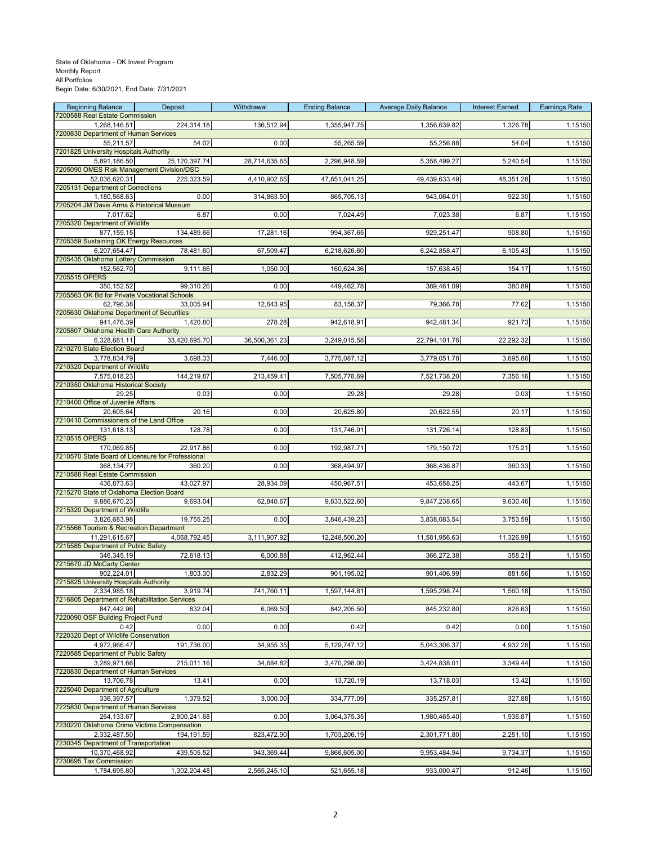# State of Oklahoma - OK Invest Program Monthly Report All Portfolios

Begin Date: 6/30/2021, End Date: 7/31/2021

| <b>Beginning Balance</b><br>7200588 Real Estate Commission      | Deposit       | Withdrawal    | <b>Ending Balance</b> | <b>Average Daily Balance</b> | <b>Interest Earned</b> | <b>Earnings Rate</b> |
|-----------------------------------------------------------------|---------------|---------------|-----------------------|------------------------------|------------------------|----------------------|
| 1,268,146.51                                                    | 224,314.18    | 136,512.94    | 1,355,947.75          | 1,356,639.82                 | 1,326.78               | 1.15150              |
| 7200830 Department of Human Services<br>55,211.57               | 54.02         | 0.00          | 55,265.59             | 55,256.88                    | 54.04                  | 1.15150              |
| 7201825 University Hospitals Authority                          |               |               |                       |                              |                        |                      |
| 5,891,186.50<br>7205090 OMES Risk Management Division/DSC       | 25,120,397.74 | 28,714,635.65 | 2,296,948.59          | 5,358,499.27                 | 5,240.54               | 1.15150              |
| 52,036,620.31                                                   | 225,323.59    | 4,410,902.65  | 47,851,041.25         | 49,439,633.49                | 48,351.28              | 1.15150              |
| 7205131 Department of Corrections<br>1,180,568.63               | 0.00          | 314,863.50    | 865,705.13            | 943,064.01                   | 922.30                 | 1.15150              |
| 7205204 JM Davis Arms & Historical Museum                       |               |               |                       |                              |                        |                      |
| 7,017.62<br>7205320 Department of Wildlife                      | 6.87          | 0.00          | 7,024.49              | 7,023.38                     | 6.87                   | 1.15150              |
| 877,159.15                                                      | 134,489.66    | 17,281.16     | 994,367.65            | 929,251.47                   | 908.80                 | 1.15150              |
| 7205359 Sustaining OK Energy Resources<br>6,207,654.47          | 78,481.60     | 67,509.47     | 6,218,626.60          | 6,242,858.47                 | 6,105.43               | 1.15150              |
| 7205435 Oklahoma Lottery Commission                             |               |               |                       |                              |                        |                      |
| 152,562.70<br>7205515 OPERS                                     | 9,111.66      | 1,050.00      | 160,624.36            | 157,638.45                   | 154.17                 | 1.15150              |
| 350, 152.52                                                     | 99,310.26     | 0.00          | 449,462.78            | 389,461.09                   | 380.89                 | 1.15150              |
| 7205563 OK Bd for Private Vocational Schools<br>62,796.38       | 33,005.94     | 12,643.95     | 83,158.37             | 79,366.78                    | 77.62                  | 1.15150              |
| 7205630 Oklahoma Department of Securities                       |               |               |                       |                              |                        |                      |
| 941,476.39<br>7205807 Oklahoma Health Care Authority            | 1,420.80      | 278.28        | 942,618.91            | 942,481.34                   | 921.73                 | 1.15150              |
| 6,328,681.11                                                    | 33,420,695.70 | 36,500,361.23 | 3,249,015.58          | 22,794,101.76                | 22,292.32              | 1.15150              |
| 7210270 State Election Board<br>3.778.834.79                    | 3,698.33      | 7,446.00      | 3,775,087.12          | 3,779,051.78                 | 3,695.86               | 1.15150              |
| 7210320 Department of Wildlife                                  |               |               |                       |                              |                        |                      |
| 7,575,018.23<br>7210350 Oklahoma Historical Society             | 144,219.87    | 213,459.41    | 7,505,778.69          | 7,521,738.20                 | 7,356.16               | 1.15150              |
| 29.25                                                           | 0.03          | 0.00          | 29.28                 | 29.28                        | 0.03                   | 1.15150              |
| 7210400 Office of Juvenile Affairs<br>20,605.64                 | 20.16         | 0.00          | 20,625.80             | 20,622.55                    | 20.17                  | 1.15150              |
| 7210410 Commissioners of the Land Office                        |               |               |                       |                              |                        |                      |
| 131,618.13<br>7210515 OPERS                                     | 128.78        | 0.00          | 131,746.91            | 131,726.14                   | 128.83                 | 1.15150              |
| 170,069.85                                                      | 22,917.86     | 0.00          | 192,987.71            | 179,150.72                   | 175.21                 | 1.15150              |
| 7210570 State Board of Licensure for Professional<br>368,134.77 | 360.20        | 0.00          | 368,494.97            | 368,436.87                   | 360.33                 | 1.15150              |
| 7210588 Real Estate Commission                                  |               |               |                       |                              |                        |                      |
| 436,873.63<br>7215270 State of Oklahoma Election Board          | 43,027.97     | 28,934.09     | 450,967.51            | 453,658.25                   | 443.67                 | 1.15150              |
| 9,886,670.23                                                    | 9,693.04      | 62,840.67     | 9,833,522.60          | 9,847,238.65                 | 9,630.46               | 1.15150              |
| 7215320 Department of Wildlife<br>3,826,683.98                  | 19,755.25     | 0.00          | 3,846,439.23          | 3,838,083.54                 | 3,753.59               | 1.15150              |
| 7215566 Tourism & Recreation Department                         |               |               |                       |                              |                        |                      |
| 11,291,615.67<br>7215585 Department of Public Safety            | 4,068,792.45  | 3,111,907.92  | 12,248,500.20         | 11,581,956.63                | 11,326.99              | 1.15150              |
| 346,345.19                                                      | 72,618.13     | 6,000.88      | 412,962.44            | 366,272.38                   | 358.21                 | 1.15150              |
| 7215670 JD McCarty Center<br>902,224.01                         | 1,803.30      | 2,832.29      | 901,195.02            | 901,406.99                   | 881.56                 | 1.15150              |
| 7215825 University Hospitals Authority                          |               |               |                       |                              |                        |                      |
| 2,334,985.18<br>7216805 Department of Rehabilitation Services   | 3,919.74      | 741,760.11    | 1,597,144.81          | 1,595,298.74                 | 1,560.18               | 1.15150              |
| 847,442.96                                                      | 832.04        | 6,069.50      | 842,205.50            | 845,232.80                   | 826.63                 | 1.15150              |
| 7220090 OSF Building Project Fund<br>0.42                       | 0.00          | 0.00          | 0.42                  | 0.42                         | 0.00                   | 1.15150              |
| 7220320 Dept of Wildlife Conservation                           |               |               |                       |                              |                        |                      |
| 4,972,966.47<br>7220585 Department of Public Safety             | 191,736.00    | 34,955.35     | 5,129,747.12          | 5,043,306.37                 | 4,932.28               | 1.15150              |
| 3,289,971.66                                                    | 215,011.16    | 34,684.82     | 3,470,298.00          | 3,424,838.01                 | 3,349.44               | 1.15150              |
| 7220830 Department of Human Services<br>13,706.78               | 13.41         | 0.00          | 13,720.19             | 13,718.03                    | 13.42                  | 1.15150              |
| 7225040 Department of Agriculture                               |               |               |                       |                              |                        |                      |
| 336,397.57<br>7225830 Department of Human Services              | 1,379.52      | 3,000.00      | 334,777.09            | 335,257.81                   | 327.88                 | 1.15150              |
| 264,133.67                                                      | 2.800.241.68  | 0.00          | 3,064,375.35          | 1,980,465.40                 | 1,936.87               | 1.15150              |
| 7230220 Oklahoma Crime Victims Compensation<br>2,332,487.50     | 194,191.59    | 823,472.90    | 1,703,206.19          | 2,301,771.80                 | 2,251.10               | 1.15150              |
| 7230345 Department of Transportation                            |               |               |                       |                              |                        |                      |
| 10,370,468.92<br>7230695 Tax Commission                         | 439,505.52    | 943,369.44    | 9,866,605.00          | 9,953,484.94                 | 9,734.37               | 1.15150              |
| 1,784,695.80                                                    | 1,302,204.48  | 2,565,245.10  | 521,655.18            | 933,000.47                   | 912.46                 | 1.15150              |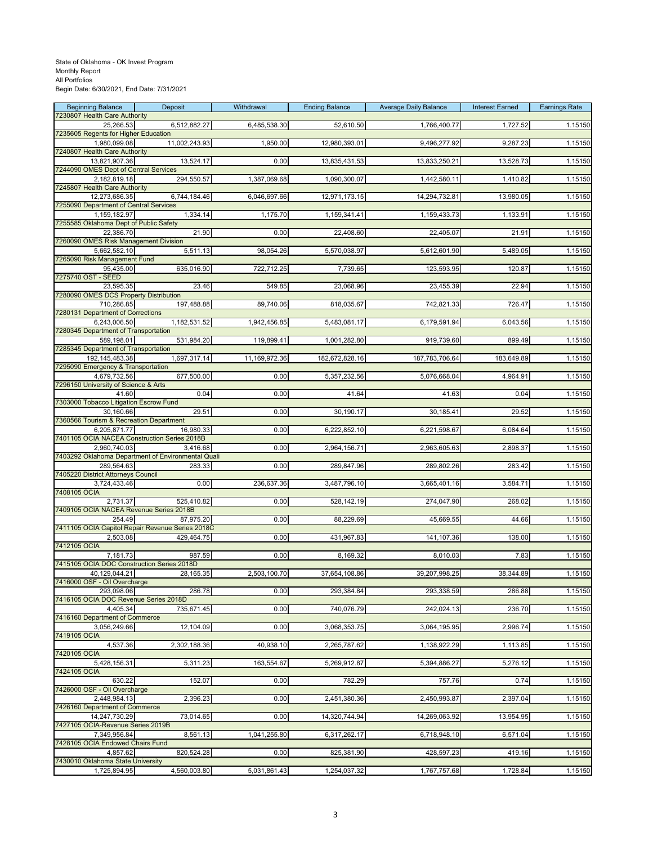| <b>Beginning Balance</b>                                     | Deposit                                                       | Withdrawal    | <b>Ending Balance</b> | <b>Average Daily Balance</b> | <b>Interest Earned</b> | <b>Earnings Rate</b> |
|--------------------------------------------------------------|---------------------------------------------------------------|---------------|-----------------------|------------------------------|------------------------|----------------------|
| 7230807 Health Care Authority<br>25,266.53                   | 6,512,882.27                                                  | 6,485,538.30  | 52,610.50             | 1,766,400.77                 | 1,727.52               | 1.15150              |
| 7235605 Regents for Higher Education                         |                                                               |               |                       |                              |                        |                      |
| 1,980,099.08<br>7240807 Health Care Authority                | 11,002,243.93                                                 | 1,950.00      | 12,980,393.01         | 9,496,277.92                 | 9,287.23               | 1.15150              |
| 13,821,907.36                                                | 13,524.17                                                     | 0.00          | 13,835,431.53         | 13,833,250.21                | 13,528.73              | 1.15150              |
| 7244090 OMES Dept of Central Services                        |                                                               |               |                       |                              |                        |                      |
| 2,182,819.18<br>7245807 Health Care Authority                | 294,550.57                                                    | 1,387,069.68  | 1,090,300.07          | 1,442,580.11                 | 1,410.82               | 1.15150              |
| 12,273,686.35                                                | 6,744,184.46                                                  | 6,046,697.66  | 12,971,173.15         | 14,294,732.81                | 13,980.05              | 1.15150              |
| 7255090 Department of Central Services<br>1,159,182.97       | 1,334.14                                                      | 1,175.70      | 1,159,341.41          | 1,159,433.73                 | 1,133.91               | 1.15150              |
| 7255585 Oklahoma Dept of Public Safety                       |                                                               |               |                       |                              |                        |                      |
| 22,386.70<br>7260090 OMES Risk Management Division           | 21.90                                                         | 0.00          | 22,408.60             | 22.405.07                    | 21.91                  | 1.15150              |
| 5,662,582.10                                                 | 5,511.13                                                      | 98,054.26     | 5,570,038.97          | 5,612,601.90                 | 5,489.05               | 1.15150              |
| 7265090 Risk Management Fund<br>95,435.00                    | 635,016.90                                                    | 722,712.25    | 7,739.65              | 123,593.95                   | 120.87                 | 1.15150              |
| 7275740 OST - SEED                                           |                                                               |               |                       |                              |                        |                      |
| 23,595.35                                                    | 23.46                                                         | 549.85        | 23,068.96             | 23,455.39                    | 22.94                  | 1.15150              |
| 7280090 OMES DCS Property Distribution<br>710,286.85         | 197,488.88                                                    | 89,740.06     | 818,035.67            | 742,821.33                   | 726.47                 | 1.15150              |
| 7280131 Department of Corrections                            |                                                               |               |                       |                              |                        |                      |
| 6.243.006.50<br>7280345 Department of Transportation         | 1,182,531.52                                                  | 1,942,456.85  | 5,483,081.17          | 6,179,591.94                 | 6,043.56               | 1.15150              |
| 589,198.01                                                   | 531,984.20                                                    | 119,899.41    | 1,001,282.80          | 919,739.60                   | 899.49                 | 1.15150              |
| 7285345 Department of Transportation<br>192, 145, 483. 38    | 1,697,317.14                                                  | 11,169,972.36 | 182,672,828.16        | 187,783,706.64               | 183,649.89             | 1.15150              |
| 7295090 Emergency & Transportation                           |                                                               |               |                       |                              |                        |                      |
| 4,679,732.56<br>7296150 University of Science & Arts         | 677,500.00                                                    | 0.00          | 5, 357, 232.56        | 5,076,668.04                 | 4,964.91               | 1.15150              |
| 41.60                                                        | 0.04                                                          | 0.00          | 41.64                 | 41.63                        | 0.04                   | 1.15150              |
| 7303000 Tobacco Litigation Escrow Fund                       |                                                               |               |                       |                              |                        |                      |
| 30,160.66<br>7360566 Tourism & Recreation Department         | 29.51                                                         | 0.00          | 30,190.17             | 30,185.41                    | 29.52                  | 1.15150              |
| 6,205,871.77                                                 | 16,980.33                                                     | 0.00          | 6,222,852.10          | 6,221,598.67                 | 6,084.64               | 1.15150              |
| 7401105 OCIA NACEA Construction Series 2018B<br>2,960,740.03 | 3,416.68                                                      | 0.00          | 2,964,156.71          | 2,963,605.63                 | 2,898.37               | 1.15150              |
|                                                              | 7403292 Oklahoma Department of Environmental Quali            |               |                       |                              |                        |                      |
| 289,564.63<br>7405220 District Attorneys Council             | 283.33                                                        | 0.00          | 289,847.96            | 289,802.26                   | 283.42                 | 1.15150              |
| 3,724,433.46                                                 | 0.00                                                          | 236,637.36    | 3,487,796.10          | 3,665,401.16                 | 3,584.71               | 1.15150              |
| 7408105 OCIA<br>2,731.37                                     | 525,410.82                                                    | 0.00          | 528,142.19            | 274,047.90                   | 268.02                 | 1.15150              |
| 7409105 OCIA NACEA Revenue Series 2018B                      |                                                               |               |                       |                              |                        |                      |
| 254.49                                                       | 87,975.20<br>7411105 OCIA Capitol Repair Revenue Series 2018C | 0.00          | 88,229.69             | 45,669.55                    | 44.66                  | 1.15150              |
| 2,503.08                                                     | 429,464.75                                                    | 0.00          | 431,967.83            | 141,107.36                   | 138.00                 | 1.15150              |
| 7412105 OCIA                                                 |                                                               |               |                       |                              |                        |                      |
| 7,181.73<br>7415105 OCIA DOC Construction Series 2018D       | 987.59                                                        | 0.00          | 8,169.32              | 8,010.03                     | 7.83                   | 1.15150              |
| 40,129,044.21                                                | 28,165.35                                                     | 2,503,100.70  | 37,654,108.86         | 39,207,998.25                | 38,344.89              | 1.15150              |
| 7416000 OSF - Oil Overcharge<br>293,098.06                   | 286.78                                                        | 0.00          | 293,384.84            | 293,338.59                   | 286.88                 | 1.15150              |
| 7416105 OCIA DOC Revenue Series 2018D                        |                                                               |               |                       |                              |                        |                      |
| 4.405.34<br>7416160 Department of Commerce                   | 735,671.45                                                    | 0.00          | 740,076.79            | 242,024.13                   | 236.70                 | 1.15150              |
| 3,056,249.66                                                 | 12,104.09                                                     | 0.00          | 3,068,353.75          | 3,064,195.95                 | 2,996.74               | 1.15150              |
| 7419105 OCIA<br>4,537.36                                     | 2,302,188.36                                                  | 40,938.10     | 2,265,787.62          | 1,138,922.29                 | 1,113.85               | 1.15150              |
| 7420105 OCIA                                                 |                                                               |               |                       |                              |                        |                      |
| 5,428,156.31<br>7424105 OCIA                                 | 5,311.23                                                      | 163,554.67    | 5,269,912.87          | 5,394,886.27                 | 5,276.12               | 1.15150              |
| 630.22                                                       | 152.07                                                        | 0.00          | 782.29                | 757.76                       | 0.74                   | 1.15150              |
| 7426000 OSF - Oil Overcharge                                 |                                                               |               |                       |                              |                        |                      |
| 2,448,984.13<br>7426160 Department of Commerce               | 2,396.23                                                      | 0.00          | 2,451,380.36          | 2,450,993.87                 | 2,397.04               | 1.15150              |
| 14,247,730.29                                                | 73,014.65                                                     | 0.00          | 14,320,744.94         | 14,269,063.92                | 13,954.95              | 1.15150              |
| 7427105 OCIA-Revenue Series 2019B<br>7,349,956.84            | 8,561.13                                                      | 1,041,255.80  | 6,317,262.17          | 6,718,948.10                 | 6,571.04               | 1.15150              |
| 7428105 OCIA Endowed Chairs Fund                             |                                                               |               |                       |                              |                        |                      |
| 4,857.62<br>7430010 Oklahoma State University                | 820,524.28                                                    | 0.00          | 825,381.90            | 428,597.23                   | 419.16                 | 1.15150              |
| 1,725,894.95                                                 | 4,560,003.80                                                  | 5,031,861.43  | 1,254,037.32          | 1,767,757.68                 | 1,728.84               | 1.15150              |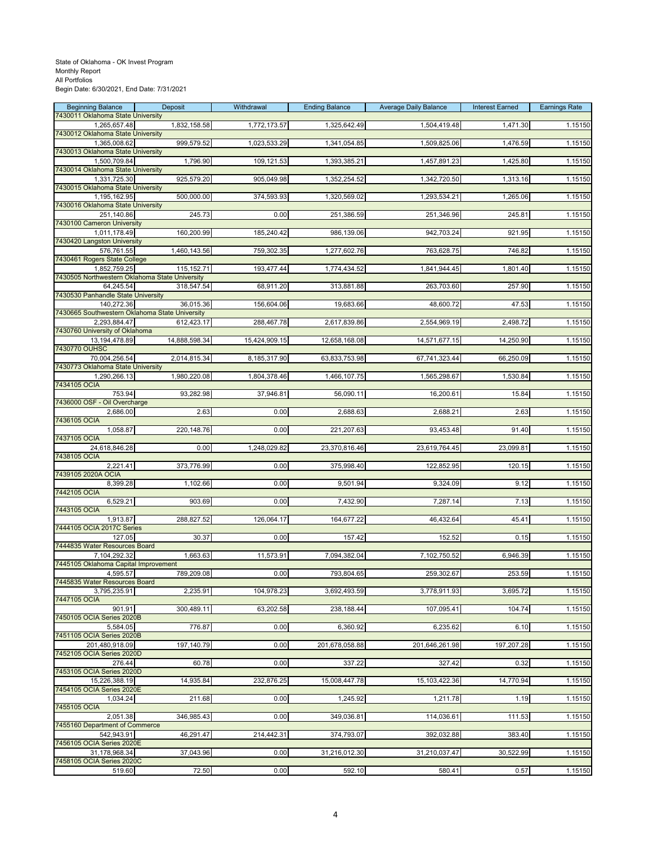# State of Oklahoma - OK Invest Program Monthly Report All Portfolios

Begin Date: 6/30/2021, End Date: 7/31/2021

| <b>Beginning Balance</b>                                       | Deposit       | Withdrawal    | <b>Ending Balance</b> | <b>Average Daily Balance</b> | <b>Interest Earned</b> | <b>Earnings Rate</b> |
|----------------------------------------------------------------|---------------|---------------|-----------------------|------------------------------|------------------------|----------------------|
| 7430011 Oklahoma State University<br>1,265,657.48              | 1,832,158.58  | 1,772,173.57  | 1,325,642.49          | 1,504,419.48                 | 1,471.30               | 1.15150              |
| 7430012 Oklahoma State University<br>1,365,008.62              | 999,579.52    | 1,023,533.29  | 1,341,054.85          | 1,509,825.06                 | 1,476.59               | 1.15150              |
| 7430013 Oklahoma State University                              |               |               |                       |                              |                        |                      |
| 1,500,709.84<br>7430014 Oklahoma State University              | 1,796.90      | 109,121.53    | 1,393,385.21          | 1,457,891.23                 | 1,425.80               | 1.15150              |
| 1,331,725.30                                                   | 925,579.20    | 905,049.98    | 1,352,254.52          | 1,342,720.50                 | 1,313.16               | 1.15150              |
| 7430015 Oklahoma State University<br>1,195,162.95              | 500,000.00    | 374,593.93    | 1,320,569.02          | 1,293,534.21                 | 1,265.06               | 1.15150              |
| 7430016 Oklahoma State University                              |               |               |                       |                              |                        |                      |
| 251,140.86<br>7430100 Cameron University                       | 245.73        | 0.00          | 251,386.59            | 251,346.96                   | 245.81                 | 1.15150              |
| 1,011,178.49                                                   | 160,200.99    | 185,240.42    | 986,139.06            | 942,703.24                   | 921.95                 | 1.15150              |
| 7430420 Langston University<br>576,761.55                      | 1,460,143.56  | 759,302.35    | 1,277,602.76          | 763,628.75                   | 746.82                 | 1.15150              |
| 7430461 Rogers State College<br>1,852,759.25                   | 115,152.71    | 193,477.44    | 1,774,434.52          | 1,841,944.45                 | 1,801.40               | 1.15150              |
| 7430505 Northwestern Oklahoma State University                 |               |               |                       |                              |                        |                      |
| 64,245.54<br>7430530 Panhandle State University                | 318,547.54    | 68,911.20     | 313,881.88            | 263,703.60                   | 257.90                 | 1.15150              |
| 140,272.36                                                     | 36,015.36     | 156,604.06    | 19,683.66             | 48,600.72                    | 47.53                  | 1.15150              |
| 7430665 Southwestern Oklahoma State University<br>2,293,884.47 | 612,423.17    | 288,467.78    | 2,617,839.86          | 2,554,969.19                 | 2,498.72               | 1.15150              |
| 7430760 University of Oklahoma                                 |               |               |                       |                              |                        |                      |
| 13,194,478.89<br>7430770 OUHSC                                 | 14,888,598.34 | 15,424,909.15 | 12,658,168.08         | 14,571,677.15                | 14,250.90              | 1.15150              |
| 70,004,256.54<br>7430773 Oklahoma State University             | 2,014,815.34  | 8,185,317.90  | 63,833,753.98         | 67,741,323.44                | 66,250.09              | 1.15150              |
| 1,290,266.13                                                   | 1,980,220.08  | 1,804,378.46  | 1,466,107.75          | 1,565,298.67                 | 1,530.84               | 1.15150              |
| 7434105 OCIA<br>753.94                                         | 93,282.98     | 37,946.81     | 56,090.11             | 16,200.61                    | 15.84                  | 1.15150              |
| 7436000 OSF - Oil Overcharge                                   |               |               |                       |                              |                        |                      |
| 2,686.00<br>7436105 OCIA                                       | 2.63          | 0.00          | 2,688.63              | 2,688.21                     | 2.63                   | 1.15150              |
| 1,058.87                                                       | 220,148.76    | 0.00          | 221,207.63            | 93,453.48                    | 91.40                  | 1.15150              |
| 7437105 OCIA<br>24,618,846.28                                  | 0.00          | 1,248,029.82  | 23,370,816.46         | 23,619,764.45                | 23,099.81              | 1.15150              |
| 7438105 OCIA                                                   |               |               |                       |                              |                        |                      |
| 2,221.41<br>7439105 2020A OCIA                                 | 373,776.99    | 0.00          | 375,998.40            | 122,852.95                   | 120.15                 | 1.15150              |
| 8,399.28                                                       | 1,102.66      | 0.00          | 9,501.94              | 9,324.09                     | 9.12                   | 1.15150              |
| 7442105 OCIA<br>6,529.21                                       | 903.69        | 0.00          | 7,432.90              | 7,287.14                     | 7.13                   | 1.15150              |
| 7443105 OCIA<br>1,913.87                                       | 288,827.52    | 126,064.17    | 164,677.22            | 46,432.64                    | 45.41                  | 1.15150              |
| 7444105 OCIA 2017C Series                                      |               |               |                       |                              |                        |                      |
| 127.05<br>7444835 Water Resources Board                        | 30.37         | 0.00          | 157.42                | 152.52                       | 0.15                   | 1.15150              |
| 7,104,292.32                                                   | 1,663.63      | 11,573.91     | 7,094,382.04          | 7,102,750.52                 | 6,946.39               | 1.15150              |
| 7445105 Oklahoma Capital Improvement<br>4,595.57               | 789,209.08    | 0.00          | 793,804.65            | 259,302.67                   | 253.59                 | 1.15150              |
| 7445835 Water Resources Board                                  |               |               |                       |                              |                        |                      |
| 3,795,235.91<br>7447105 OCIA                                   | 2,235.91      | 104,978.23    | 3,692,493.59          | 3,778,911.93                 | 3,695.72               | 1.15150              |
| 901.91<br>7450105 OCIA Series 2020B                            | 300,489.11    | 63,202.58     | 238,188.44            | 107,095.41                   | 104.74                 | 1.15150              |
| 5,584.05                                                       | 776.87        | 0.00          | 6,360.92              | 6,235.62                     | 6.10                   | 1.15150              |
| 7451105 OCIA Series 2020B<br>201.480.918.09                    | 197,140.79    | 0.00          | 201,678,058.88        | 201,646,261.98               | 197,207.28             | 1.15150              |
| 7452105 OCIA Series 2020D                                      |               |               |                       |                              |                        |                      |
| 276.44<br>7453105 OCIA Series 2020D                            | 60.78         | 0.00          | 337.22                | 327.42                       | 0.32                   | 1.15150              |
| 15,226,388.19                                                  | 14,935.84     | 232,876.25    | 15,008,447.78         | 15,103,422.36                | 14,770.94              | 1.15150              |
| 7454105 OCIA Series 2020E<br>1.034.24                          | 211.68        | 0.00          | 1,245.92              | 1,211.78                     | 1.19                   | 1.15150              |
| 7455105 OCIA<br>2,051.38                                       | 346,985.43    | 0.00          | 349,036.81            | 114,036.61                   | 111.53                 | 1.15150              |
| 7455160 Department of Commerce                                 |               |               |                       |                              |                        |                      |
| 542,943.91<br>7456105 OCIA Series 2020E                        | 46,291.47     | 214,442.31    | 374,793.07            | 392,032.88                   | 383.40                 | 1.15150              |
| 31,178,968.34                                                  | 37,043.96     | 0.00          | 31,216,012.30         | 31,210,037.47                | 30,522.99              | 1.15150              |
| 7458105 OCIA Series 2020C<br>519.60                            | 72.50         | 0.00          | 592.10                | 580.41                       | 0.57                   | 1.15150              |
|                                                                |               |               |                       |                              |                        |                      |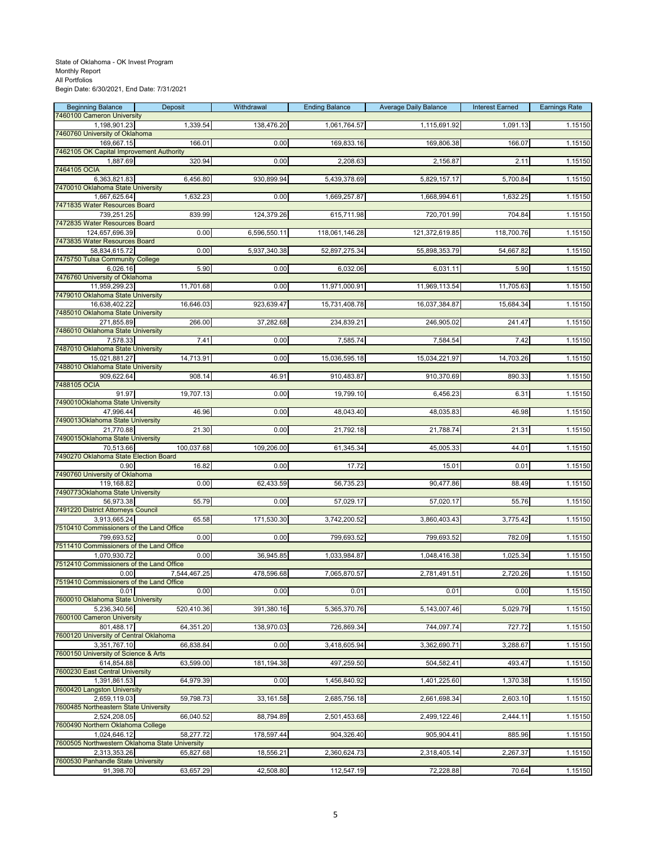| <b>Beginning Balance</b>                                       | Deposit      | Withdrawal   | <b>Ending Balance</b> | <b>Average Daily Balance</b> | <b>Interest Earned</b> | <b>Earnings Rate</b> |
|----------------------------------------------------------------|--------------|--------------|-----------------------|------------------------------|------------------------|----------------------|
| 7460100 Cameron University<br>1,198,901.23                     | 1,339.54     | 138,476.20   | 1,061,764.57          | 1,115,691.92                 | 1,091.13               | 1.15150              |
| 7460760 University of Oklahoma                                 | 166.01       | 0.00         |                       |                              | 166.07                 |                      |
| 169,667.15<br>7462105 OK Capital Improvement Authority         |              |              | 169,833.16            | 169,806.38                   |                        | 1.15150              |
| 1,887.69<br>7464105 OCIA                                       | 320.94       | 0.00         | 2,208.63              | 2,156.87                     | 2.11                   | 1.15150              |
| 6,363,821.83                                                   | 6,456.80     | 930,899.94   | 5,439,378.69          | 5,829,157.17                 | 5,700.84               | 1.15150              |
| 7470010 Oklahoma State University<br>1,667,625.64              | 1,632.23     | 0.00         | 1,669,257.87          | 1,668,994.61                 | 1,632.25               | 1.15150              |
| 7471835 Water Resources Board                                  |              |              |                       |                              |                        |                      |
| 739,251.25<br>7472835 Water Resources Board                    | 839.99       | 124,379.26   | 615,711.98            | 720,701.99                   | 704.84                 | 1.15150              |
| 124,657,696.39                                                 | 0.00         | 6,596,550.11 | 118,061,146.28        | 121,372,619.85               | 118,700.76             | 1.15150              |
| 7473835 Water Resources Board<br>58,834,615.72                 | 0.00         | 5,937,340.38 | 52,897,275.34         | 55,898,353.79                | 54,667.82              | 1.15150              |
| 7475750 Tulsa Community College                                |              |              |                       |                              |                        |                      |
| 6,026.16<br>7476760 University of Oklahoma                     | 5.90         | 0.00         | 6,032.06              | 6,031.11                     | 5.90                   | 1.15150              |
| 11,959,299.23<br>7479010 Oklahoma State University             | 11,701.68    | 0.00         | 11,971,000.91         | 11,969,113.54                | 11,705.63              | 1.15150              |
| 16,638,402.22                                                  | 16,646.03    | 923,639.47   | 15,731,408.78         | 16,037,384.87                | 15,684.34              | 1.15150              |
| 7485010 Oklahoma State University<br>271,855.89                | 266.00       | 37,282.68    | 234,839.21            | 246,905.02                   | 241.47                 | 1.15150              |
| 7486010 Oklahoma State University                              |              |              |                       |                              |                        |                      |
| 7,578.33<br>7487010 Oklahoma State University                  | 7.41         | 0.00         | 7,585.74              | 7,584.54                     | 7.42                   | 1.15150              |
| 15,021,881.27                                                  | 14,713.91    | 0.00         | 15,036,595.18         | 15,034,221.97                | 14,703.26              | 1.15150              |
| 7488010 Oklahoma State University<br>909,622.64                | 908.14       | 46.91        | 910,483.87            | 910,370.69                   | 890.33                 | 1.15150              |
| 7488105 OCIA<br>91.97                                          |              | 0.00         |                       |                              |                        |                      |
| 7490010Oklahoma State University                               | 19,707.13    |              | 19,799.10             | 6,456.23                     | 6.31                   | 1.15150              |
| 47,996.44<br>7490013Oklahoma State University                  | 46.96        | 0.00         | 48,043.40             | 48,035.83                    | 46.98                  | 1.15150              |
| 21,770.88                                                      | 21.30        | 0.00         | 21,792.18             | 21,788.74                    | 21.31                  | 1.15150              |
| 7490015Oklahoma State University<br>70,513.66                  | 100,037.68   | 109,206.00   | 61,345.34             | 45,005.33                    | 44.01                  | 1.15150              |
| 7490270 Oklahoma State Election Board                          |              |              |                       |                              |                        |                      |
| 0.90<br>7490760 University of Oklahoma                         | 16.82        | 0.00         | 17.72                 | 15.01                        | 0.01                   | 1.15150              |
| 119,168.82<br>7490773Oklahoma State University                 | 0.00         | 62,433.59    | 56,735.23             | 90,477.86                    | 88.49                  | 1.15150              |
| 56,973.38                                                      | 55.79        | 0.00         | 57,029.17             | 57,020.17                    | 55.76                  | 1.15150              |
| 7491220 District Attorneys Council<br>3,913,665.24             | 65.58        | 171,530.30   | 3,742,200.52          | 3,860,403.43                 | 3,775.42               | 1.15150              |
| 7510410 Commissioners of the Land Office                       |              |              |                       |                              |                        |                      |
| 799,693.52<br>7511410 Commissioners of the Land Office         | 0.00         | 0.00         | 799,693.52            | 799,693.52                   | 782.09                 | 1.15150              |
| 1,070,930.72                                                   | 0.00         | 36,945.85    | 1,033,984.87          | 1,048,416.38                 | 1,025.34               | 1.15150              |
| 7512410 Commissioners of the Land Office<br>0.00               | 7,544,467.25 | 478,596.68   | 7,065,870.57          | 2,781,491.51                 | 2,720.26               | 1.15150              |
| 7519410 Commissioners of the Land Office                       |              |              |                       |                              |                        |                      |
| 0.01<br>7600010 Oklahoma State University                      | 0.00         | 0.00         | 0.01                  | 0.01                         | 0.00                   | 1.15150              |
| 5,236,340.56<br>7600100 Cameron University                     | 520,410.36   | 391,380.16   | 5,365,370.76          | 5,143,007.46                 | 5,029.79               | 1.15150              |
| 801.488.17                                                     | 64,351.20    | 138,970.03   | 726,869.34            | 744,097.74                   | 727.72                 | 1.15150              |
| 7600120 University of Central Oklahoma<br>3,351,767.10         | 66,838.84    | 0.00         | 3,418,605.94          | 3,362,690.71                 | 3,288.67               | 1.15150              |
| 7600150 University of Science & Arts                           |              |              |                       |                              |                        |                      |
| 614.854.88<br>7600230 East Central University                  | 63,599.00    | 181,194.38   | 497,259.50            | 504,582.41                   | 493.47                 | 1.15150              |
| 1,391,861.53                                                   | 64,979.39    | 0.00         | 1,456,840.92          | 1,401,225.60                 | 1,370.38               | 1.15150              |
| 7600420 Langston University<br>2,659,119.03                    | 59,798.73    | 33,161.58    | 2,685,756.18          | 2,661,698.34                 | 2,603.10               | 1.15150              |
| 7600485 Northeastern State University<br>2,524,208.05          |              | 88,794.89    |                       |                              | 2,444.11               |                      |
| 7600490 Northern Oklahoma College                              | 66,040.52    |              | 2,501,453.68          | 2,499,122.46                 |                        | 1.15150              |
| 1,024,646.12<br>7600505 Northwestern Oklahoma State University | 58,277.72    | 178,597.44   | 904,326.40            | 905,904.41                   | 885.96                 | 1.15150              |
| 2,313,353.26                                                   | 65,827.68    | 18,556.21    | 2,360,624.73          | 2,318,405.14                 | 2,267.37               | 1.15150              |
| 7600530 Panhandle State University<br>91,398.70                | 63,657.29    | 42,508.80    | 112,547.19            | 72,228.88                    | 70.64                  | 1.15150              |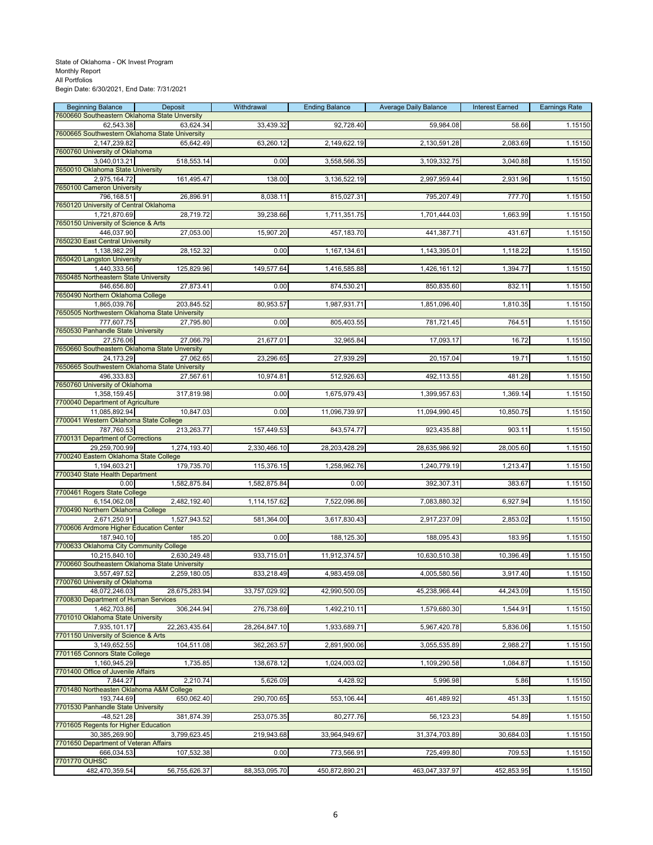| <b>Beginning Balance</b>                                     | Deposit       | Withdrawal    | <b>Ending Balance</b> | <b>Average Daily Balance</b> | <b>Interest Earned</b> | <b>Earnings Rate</b> |
|--------------------------------------------------------------|---------------|---------------|-----------------------|------------------------------|------------------------|----------------------|
| 7600660 Southeastern Oklahoma State Unversity<br>62,543.38   | 63,624.34     | 33,439.32     | 92,728.40             | 59,984.08                    | 58.66                  | 1.15150              |
| 7600665 Southwestern Oklahoma State University               |               |               |                       |                              |                        |                      |
| 2,147,239.82<br>7600760 University of Oklahoma               | 65,642.49     | 63,260.12     | 2,149,622.19          | 2,130,591.28                 | 2,083.69               | 1.15150              |
| 3,040,013.21                                                 | 518,553.14    | 0.00          | 3,558,566.35          | 3,109,332.75                 | 3,040.88               | 1.15150              |
| 7650010 Oklahoma State University<br>2,975,164.72            | 161,495.47    | 138.00        | 3,136,522.19          | 2,997,959.44                 | 2,931.96               | 1.15150              |
| 7650100 Cameron University                                   |               |               |                       |                              |                        |                      |
| 796,168.51<br>7650120 University of Central Oklahoma         | 26,896.91     | 8,038.11      | 815,027.31            | 795,207.49                   | 777.70                 | 1.15150              |
| 1,721,870.69                                                 | 28,719.72     | 39,238.66     | 1,711,351.75          | 1,701,444.03                 | 1,663.99               | 1.15150              |
| 7650150 University of Science & Arts                         |               |               |                       |                              |                        |                      |
| 446,037.90<br><b>7650230 East Central University</b>         | 27,053.00     | 15,907.20     | 457,183.70            | 441,387.71                   | 431.67                 | 1.15150              |
| 1,138,982.29                                                 | 28,152.32     | 0.00          | 1,167,134.61          | 1,143,395.01                 | 1,118.22               | 1.15150              |
| 7650420 Langston University<br>1,440,333.56                  | 125,829.96    | 149,577.64    | 1,416,585.88          | 1,426,161.12                 | 1,394.77               | 1.15150              |
| 7650485 Northeastern State University                        |               |               |                       |                              |                        |                      |
| 846,656.80<br>7650490 Northern Oklahoma College              | 27,873.41     | 0.00          | 874,530.21            | 850,835.60                   | 832.11                 | 1.15150              |
| 1,865,039.76                                                 | 203,845.52    | 80,953.57     | 1,987,931.71          | 1,851,096.40                 | 1,810.35               | 1.15150              |
| 7650505 Northwestern Oklahoma State University<br>777,607.75 | 27,795.80     | 0.00          | 805,403.55            | 781,721.45                   | 764.51                 | 1.15150              |
| 7650530 Panhandle State University                           |               |               |                       |                              |                        |                      |
| 27.576.06<br>7650660 Southeastern Oklahoma State Unversity   | 27,066.79     | 21,677.01     | 32,965.84             | 17,093.17                    | 16.72                  | 1.15150              |
| 24,173.29                                                    | 27,062.65     | 23,296.65     | 27,939.29             | 20,157.04                    | 19.71                  | 1.15150              |
| 7650665 Southwestern Oklahoma State University               |               |               |                       |                              |                        |                      |
| 496,333.83<br>7650760 University of Oklahoma                 | 27,567.61     | 10,974.81     | 512,926.63            | 492,113.55                   | 481.28                 | 1.15150              |
| 1,358,159.45                                                 | 317,819.98    | 0.00          | 1,675,979.43          | 1,399,957.63                 | 1,369.14               | 1.15150              |
| 7700040 Department of Agriculture<br>11,085,892.94           | 10,847.03     | 0.00          | 11,096,739.97         | 11,094,990.45                | 10,850.75              | 1.15150              |
| 7700041 Western Oklahoma State College                       |               |               |                       |                              |                        |                      |
| 787,760.53                                                   | 213,263.77    | 157,449.53    | 843,574.77            | 923,435.88                   | 903.11                 | 1.15150              |
| 7700131 Department of Corrections<br>29,259,700.99           | 1,274,193.40  | 2,330,466.10  | 28,203,428.29         | 28,635,986.92                | 28,005.60              | 1.15150              |
| 7700240 Eastern Oklahoma State College                       |               |               |                       |                              |                        |                      |
| 1,194,603.21<br>7700340 State Health Department              | 179,735.70    | 115,376.15    | 1,258,962.76          | 1,240,779.19                 | 1,213.47               | 1.15150              |
| 0.00                                                         | 1,582,875.84  | 1,582,875.84  | 0.00                  | 392,307.31                   | 383.67                 | 1.15150              |
| 7700461 Rogers State College<br>6,154,062.08                 | 2,482,192.40  | 1,114,157.62  | 7,522,096.86          | 7,083,880.32                 | 6,927.94               | 1.15150              |
| 7700490 Northern Oklahoma College                            |               |               |                       |                              |                        |                      |
| 2,671,250.91<br>7700606 Ardmore Higher Education Center      | 1,527,943.52  | 581,364.00    | 3,617,830.43          | 2,917,237.09                 | 2,853.02               | 1.15150              |
| 187,940.10                                                   | 185.20        | 0.00          | 188,125.30            | 188,095.43                   | 183.95                 | 1.15150              |
| 7700633 Oklahoma City Community College<br>10,215,840.10     | 2,630,249.48  | 933,715.01    | 11,912,374.57         | 10,630,510.38                | 10,396.49              | 1.15150              |
| 7700660 Southeastern Oklahoma State University               |               |               |                       |                              |                        |                      |
| 3,557,497.52                                                 | 2,259,180.05  | 833,218.49    | 4,983,459.08          | 4,005,580.56                 | 3,917.40               | 1.15150              |
| 7700760 University of Oklahoma<br>48,072,246.03              | 28,675,283.94 | 33,757,029.92 | 42,990,500.05         | 45,238,966.44                | 44,243.09              | 1.15150              |
| 7700830 Department of Human Services                         |               |               |                       |                              |                        |                      |
| 1,462,703.86<br>7701010 Oklahoma State University            | 306,244.94    | 276,738.69    | 1,492,210.11          | 1,579,680.30                 | 1,544.91               | 1.15150              |
| 7,935,101.17                                                 | 22,263,435.64 | 28,264,847.10 | 1,933,689.71          | 5,967,420.78                 | 5,836.06               | 1.15150              |
| 7701150 University of Science & Arts<br>3,149,652.55         | 104,511.08    | 362,263.57    | 2,891,900.06          | 3,055,535.89                 | 2,988.27               | 1.15150              |
| 7701165 Connors State College                                |               |               |                       |                              |                        |                      |
| 1,160,945.29<br>7701400 Office of Juvenile Affairs           | 1,735.85      | 138,678.12    | 1,024,003.02          | 1,109,290.58                 | 1,084.87               | 1.15150              |
| 7,844.27                                                     | 2,210.74      | 5,626.09      | 4,428.92              | 5,996.98                     | 5.86                   | 1.15150              |
| 7701480 Northeasten Oklahoma A&M College                     |               |               |                       |                              |                        |                      |
| 193,744.69<br>7701530 Panhandle State University             | 650,062.40    | 290,700.65    | 553,106.44            | 461,489.92                   | 451.33                 | 1.15150              |
| $-48.521.28$                                                 | 381,874.39    | 253,075.35    | 80,277.76             | 56,123.23                    | 54.89                  | 1.15150              |
| 7701605 Regents for Higher Education<br>30,385,269.90        | 3,799,623.45  | 219,943.68    | 33,964,949.67         | 31,374,703.89                | 30,684.03              | 1.15150              |
| 7701650 Department of Veteran Affairs                        |               |               |                       |                              |                        |                      |
| 666,034.53<br>7701770 OUHSC                                  | 107,532.38    | 0.00          | 773,566.91            | 725,499.80                   | 709.53                 | 1.15150              |
| 482,470,359.54                                               | 56,755,626.37 | 88,353,095.70 | 450,872,890.21        | 463,047,337.97               | 452,853.95             | 1.15150              |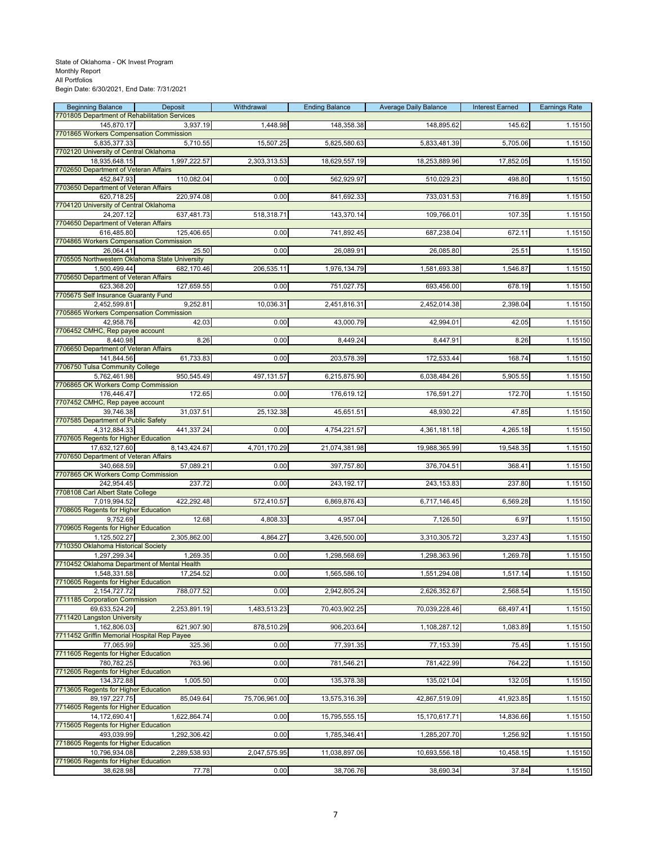# State of Oklahoma - OK Invest Program Monthly Report All Portfolios

Begin Date: 6/30/2021, End Date: 7/31/2021

| <b>Beginning Balance</b><br>7701805 Department of Rehabilitation Services | Deposit      | Withdrawal    | <b>Ending Balance</b> | <b>Average Daily Balance</b> | <b>Interest Earned</b> | <b>Earnings Rate</b> |
|---------------------------------------------------------------------------|--------------|---------------|-----------------------|------------------------------|------------------------|----------------------|
| 145,870.17                                                                | 3,937.19     | 1,448.98      | 148,358.38            | 148,895.62                   | 145.62                 | 1.15150              |
| 7701865 Workers Compensation Commission                                   |              |               |                       |                              |                        |                      |
| 5,835,377.33<br>7702120 University of Central Oklahoma                    | 5,710.55     | 15,507.25     | 5,825,580.63          | 5,833,481.39                 | 5,705.06               | 1.15150              |
| 18,935,648.15                                                             | 1,997,222.57 | 2,303,313.53  | 18,629,557.19         | 18,253,889.96                | 17,852.05              | 1.15150              |
| 7702650 Department of Veteran Affairs                                     |              |               | 562,929.97            | 510,029.23                   |                        |                      |
| 452,847.93<br>7703650 Department of Veteran Affairs                       | 110,082.04   | 0.00          |                       |                              | 498.80                 | 1.15150              |
| 620,718.25                                                                | 220,974.08   | 0.00          | 841,692.33            | 733,031.53                   | 716.89                 | 1.15150              |
| 7704120 University of Central Oklahoma<br>24,207.12                       | 637,481.73   | 518,318.71    | 143,370.14            | 109,766.01                   | 107.35                 | 1.15150              |
| 7704650 Department of Veteran Affairs                                     |              |               |                       |                              |                        |                      |
| 616,485.80                                                                | 125,406.65   | 0.00          | 741,892.45            | 687,238.04                   | 672.11                 | 1.15150              |
| 7704865 Workers Compensation Commission<br>26.064.41                      | 25.50        | 0.00          | 26,089.91             | 26,085.80                    | 25.51                  | 1.15150              |
| 7705505 Northwestern Oklahoma State University                            |              |               |                       |                              |                        |                      |
| 1,500,499.44                                                              | 682,170.46   | 206,535.11    | 1,976,134.79          | 1,581,693.38                 | 1,546.87               | 1.15150              |
| 7705650 Department of Veteran Affairs<br>623,368.20                       | 127,659.55   | 0.00          | 751,027.75            | 693,456.00                   | 678.19                 | 1.15150              |
| 7705675 Self Insurance Guaranty Fund                                      |              |               |                       |                              |                        |                      |
| 2,452,599.81<br>7705865 Workers Compensation Commission                   | 9,252.81     | 10,036.31     | 2,451,816.31          | 2,452,014.38                 | 2,398.04               | 1.15150              |
| 42,958.76                                                                 | 42.03        | 0.00          | 43,000.79             | 42,994.01                    | 42.05                  | 1.15150              |
| 7706452 CMHC, Rep payee account                                           |              |               |                       |                              |                        |                      |
| 8,440.98<br>7706650 Department of Veteran Affairs                         | 8.26         | 0.00          | 8,449.24              | 8,447.91                     | 8.26                   | 1.15150              |
| 141,844.56                                                                | 61,733.83    | 0.00          | 203,578.39            | 172,533.44                   | 168.74                 | 1.15150              |
| 7706750 Tulsa Community College                                           |              |               |                       |                              |                        |                      |
| 5,762,461.98<br>7706865 OK Workers Comp Commission                        | 950,545.49   | 497, 131.57   | 6,215,875.90          | 6,038,484.26                 | 5,905.55               | 1.15150              |
| 176,446.47                                                                | 172.65       | 0.00          | 176,619.12            | 176,591.27                   | 172.70                 | 1.15150              |
| 7707452 CMHC, Rep payee account                                           | 31,037.51    |               |                       |                              |                        | 1.15150              |
| 39,746.38<br>7707585 Department of Public Safety                          |              | 25,132.38     | 45,651.51             | 48,930.22                    | 47.85                  |                      |
| 4,312,884.33                                                              | 441,337.24   | 0.00          | 4,754,221.57          | 4,361,181.18                 | 4,265.18               | 1.15150              |
| 7707605 Regents for Higher Education<br>17,632,127.60                     | 8,143,424.67 | 4,701,170.29  | 21,074,381.98         | 19,988,365.99                | 19,548.35              | 1.15150              |
| 7707650 Department of Veteran Affairs                                     |              |               |                       |                              |                        |                      |
| 340,668.59                                                                | 57,089.21    | 0.00          | 397,757.80            | 376,704.51                   | 368.41                 | 1.15150              |
| 7707865 OK Workers Comp Commission<br>242,954.45                          | 237.72       | 0.00          | 243,192.17            | 243, 153.83                  | 237.80                 | 1.15150              |
| 7708108 Carl Albert State College                                         |              |               |                       |                              |                        |                      |
| 7,019,994.52<br>7708605 Regents for Higher Education                      | 422,292.48   | 572,410.57    | 6,869,876.43          | 6,717,146.45                 | 6,569.28               | 1.15150              |
| 9.752.69                                                                  | 12.68        | 4,808.33      | 4,957.04              | 7,126.50                     | 6.97                   | 1.15150              |
| 7709605 Regents for Higher Education                                      |              |               |                       |                              |                        |                      |
| 1,125,502.27<br>7710350 Oklahoma Historical Society                       | 2,305,862.00 | 4,864.27      | 3,426,500.00          | 3,310,305.72                 | 3,237.43               | 1.15150              |
| 1,297,299.34                                                              | 1,269.35     | 0.00          | 1,298,568.69          | 1,298,363.96                 | 1,269.78               | 1.15150              |
| 7710452 Oklahoma Department of Mental Health                              |              |               |                       |                              |                        |                      |
| 1,548,331.58<br>7710605 Regents for Higher Education                      | 17,254.52    | 0.00          | 1,565,586.10          | 1,551,294.08                 | 1,517.14               | 1.15150              |
| 2,154,727.72                                                              | 788,077.52   | 0.00          | 2,942,805.24          | 2,626,352.67                 | 2,568.54               | 1.15150              |
| 7711185 Corporation Commission<br>69,633,524.29                           | 2,253,891.19 | 1,483,513.23  | 70,403,902.25         | 70,039,228.46                | 68,497.41              | 1.15150              |
| 7711420 Langston University                                               |              |               |                       |                              |                        |                      |
| 1,162,806.03                                                              | 621,907.90   | 878,510.29    | 906,203.64            | 1,108,287.12                 | 1,083.89               | 1.15150              |
| 7711452 Griffin Memorial Hospital Rep Payee<br>77,065.99                  | 325.36       | 0.00          | 77,391.35             | 77,153.39                    | 75.45                  | 1.15150              |
| 7711605 Regents for Higher Education                                      |              |               |                       |                              |                        |                      |
| 780,782.25<br>7712605 Regents for Higher Education                        | 763.96       | 0.00          | 781,546.21            | 781,422.99                   | 764.22                 | 1.15150              |
| 134,372.88                                                                | 1,005.50     | 0.00          | 135,378.38            | 135,021.04                   | 132.05                 | 1.15150              |
| 7713605 Regents for Higher Education                                      |              |               |                       |                              |                        |                      |
| 89, 197, 227. 75<br>7714605 Regents for Higher Education                  | 85,049.64    | 75,706,961.00 | 13,575,316.39         | 42,867,519.09                | 41,923.85              | 1.15150              |
| 14, 172, 690. 41                                                          | 1,622,864.74 | 0.00          | 15,795,555.15         | 15,170,617.71                | 14,836.66              | 1.15150              |
| 7715605 Regents for Higher Education<br>493,039.99                        |              |               |                       |                              |                        |                      |
| 7718605 Regents for Higher Education                                      | 1,292,306.42 | 0.00          | 1,785,346.41          | 1,285,207.70                 | 1,256.92               | 1.15150              |
| 10,796,934.08                                                             | 2,289,538.93 | 2,047,575.95  | 11,038,897.06         | 10,693,556.18                | 10,458.15              | 1.15150              |
| 7719605 Regents for Higher Education<br>38,628.98                         | 77.78        | 0.00          | 38,706.76             | 38,690.34                    | 37.84                  | 1.15150              |
|                                                                           |              |               |                       |                              |                        |                      |